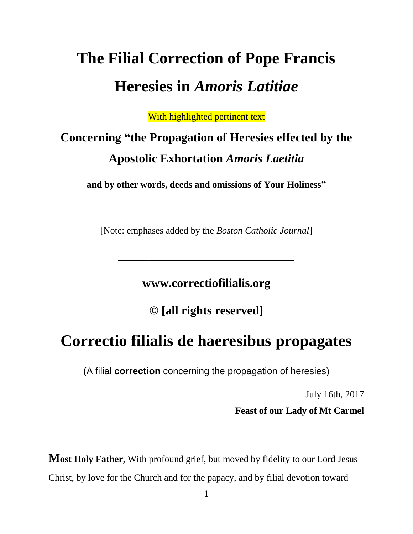# **The Filial Correction of Pope Francis Heresies in** *Amoris Latitiae*

With highlighted pertinent text

# **Concerning "the Propagation of Heresies effected by the Apostolic Exhortation** *Amoris Laetitia*

**and by other words, deeds and omissions of Your Holiness"**

[Note: emphases added by the *Boston Catholic Journal*]

**\_\_\_\_\_\_\_\_\_\_\_\_\_\_\_\_\_\_\_\_\_\_\_\_\_\_\_\_\_**

**www.correctiofilialis.org**

**© [all rights reserved]**

## **Correctio filialis de haeresibus propagates**

(A filial **correction** concerning the propagation of heresies)

July 16th, 2017

**Feast of our Lady of Mt Carmel** 

**Most Holy Father**, With profound grief, but moved by fidelity to our Lord Jesus Christ, by love for the Church and for the papacy, and by filial devotion toward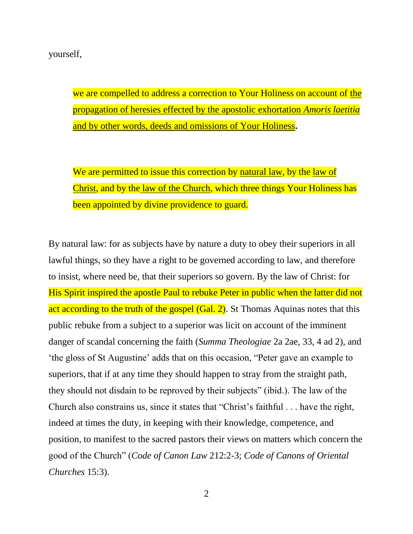#### yourself,

we are compelled to address a correction to Your Holiness on account of the propagation of heresies effected by the apostolic exhortation *Amoris laetitia* and by other words, deeds and omissions of Your Holiness**.** 

We are permitted to issue this correction by natural law, by the law of Christ, and by the law of the Church, which three things Your Holiness has been appointed by divine providence to guard.

By natural law: for as subjects have by nature a duty to obey their superiors in all lawful things, so they have a right to be governed according to law, and therefore to insist, where need be, that their superiors so govern. By the law of Christ: for His Spirit inspired the apostle Paul to rebuke Peter in public when the latter did not act according to the truth of the gospel (Gal. 2). St Thomas Aquinas notes that this public rebuke from a subject to a superior was licit on account of the imminent danger of scandal concerning the faith (*Summa Theologiae* 2a 2ae, 33, 4 ad 2), and 'the gloss of St Augustine' adds that on this occasion, "Peter gave an example to superiors, that if at any time they should happen to stray from the straight path, they should not disdain to be reproved by their subjects" (ibid.). The law of the Church also constrains us, since it states that "Christ's faithful . . . have the right, indeed at times the duty, in keeping with their knowledge, competence, and position, to manifest to the sacred pastors their views on matters which concern the good of the Church" (*Code of Canon Law* 212:2-3; *Code of Canons of Oriental Churches* 15:3).

2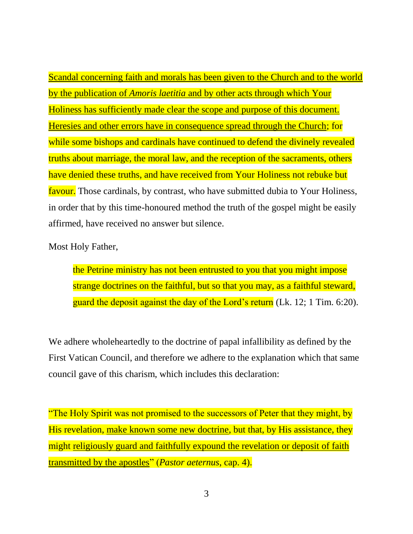Scandal concerning faith and morals has been given to the Church and to the world by the publication of *Amoris laetitia* and by other acts through which Your Holiness has sufficiently made clear the scope and purpose of this document. Heresies and other errors have in consequence spread through the Church; for while some bishops and cardinals have continued to defend the divinely revealed truths about marriage, the moral law, and the reception of the sacraments, others have denied these truths, and have received from Your Holiness not rebuke but favour. Those cardinals, by contrast, who have submitted dubia to Your Holiness, in order that by this time-honoured method the truth of the gospel might be easily affirmed, have received no answer but silence.

Most Holy Father,

the Petrine ministry has not been entrusted to you that you might impose strange doctrines on the faithful, but so that you may, as a faithful steward, guard the deposit against the day of the Lord's return (Lk. 12; 1 Tim. 6:20).

We adhere wholeheartedly to the doctrine of papal infallibility as defined by the First Vatican Council, and therefore we adhere to the explanation which that same council gave of this charism, which includes this declaration:

"The Holy Spirit was not promised to the successors of Peter that they might, by His revelation, make known some new doctrine, but that, by His assistance, they might religiously guard and faithfully expound the revelation or deposit of faith transmitted by the apostles" (*Pastor aeternus*, cap. 4).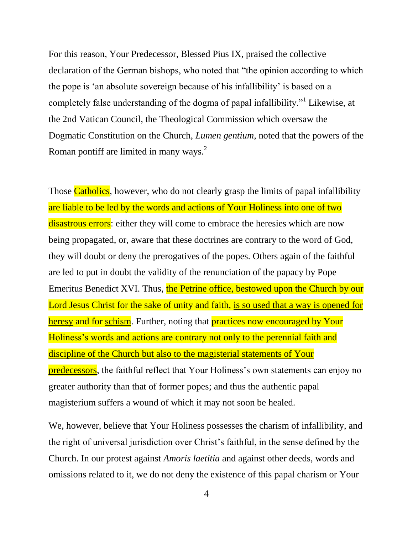For this reason, Your Predecessor, Blessed Pius IX, praised the collective declaration of the German bishops, who noted that "the opinion according to which the pope is 'an absolute sovereign because of his infallibility' is based on a completely false understanding of the dogma of papal infallibility."<sup>1</sup> Likewise, at the 2nd Vatican Council, the Theological Commission which oversaw the Dogmatic Constitution on the Church, *Lumen gentium*, noted that the powers of the Roman pontiff are limited in many ways.<sup>2</sup>

Those Catholics, however, who do not clearly grasp the limits of papal infallibility are liable to be led by the words and actions of Your Holiness into one of two disastrous errors: either they will come to embrace the heresies which are now being propagated, or, aware that these doctrines are contrary to the word of God, they will doubt or deny the prerogatives of the popes. Others again of the faithful are led to put in doubt the validity of the renunciation of the papacy by Pope Emeritus Benedict XVI. Thus, the Petrine office, bestowed upon the Church by our Lord Jesus Christ for the sake of unity and faith, is so used that a way is opened for heresy and for schism. Further, noting that **practices now encouraged by Your** Holiness's words and actions are contrary not only to the perennial faith and discipline of the Church but also to the magisterial statements of Your predecessors, the faithful reflect that Your Holiness's own statements can enjoy no greater authority than that of former popes; and thus the authentic papal magisterium suffers a wound of which it may not soon be healed.

We, however, believe that Your Holiness possesses the charism of infallibility, and the right of universal jurisdiction over Christ's faithful, in the sense defined by the Church. In our protest against *Amoris laetitia* and against other deeds, words and omissions related to it, we do not deny the existence of this papal charism or Your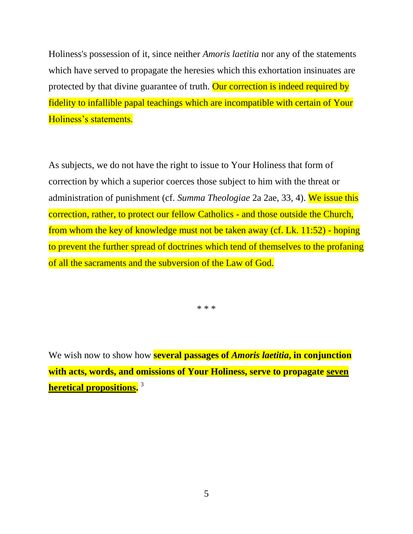Holiness's possession of it, since neither *Amoris laetitia* nor any of the statements which have served to propagate the heresies which this exhortation insinuates are protected by that divine guarantee of truth. Our correction is indeed required by fidelity to infallible papal teachings which are incompatible with certain of Your Holiness's statements.

As subjects, we do not have the right to issue to Your Holiness that form of correction by which a superior coerces those subject to him with the threat or administration of punishment (cf. *Summa Theologiae* 2a 2ae, 33, 4). We issue this correction, rather, to protect our fellow Catholics - and those outside the Church, from whom the key of knowledge must not be taken away (cf. Lk. 11:52) - hoping to prevent the further spread of doctrines which tend of themselves to the profaning of all the sacraments and the subversion of the Law of God.

\* \* \*

We wish now to show how **several passages of** *Amoris laetitia***, in conjunction with acts, words, and omissions of Your Holiness, serve to propagate seven heretical propositions.** 3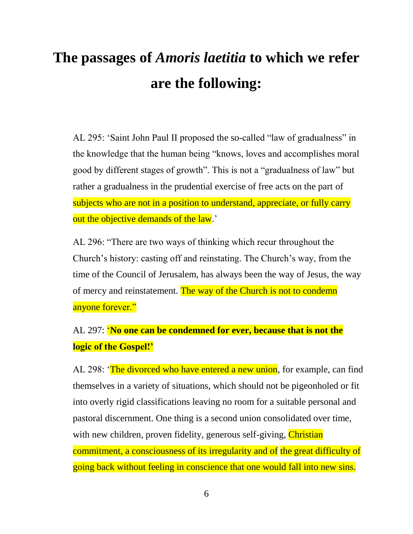# **The passages of** *Amoris laetitia* **to which we refer are the following:**

AL 295: 'Saint John Paul II proposed the so-called "law of gradualness" in the knowledge that the human being "knows, loves and accomplishes moral good by different stages of growth". This is not a "gradualness of law" but rather a gradualness in the prudential exercise of free acts on the part of subjects who are not in a position to understand, appreciate, or fully carry out the objective demands of the law.'

AL 296: "There are two ways of thinking which recur throughout the Church's history: casting off and reinstating. The Church's way, from the time of the Council of Jerusalem, has always been the way of Jesus, the way of mercy and reinstatement. The way of the Church is not to condemn anyone forever."

AL 297: '**No one can be condemned for ever, because that is not the logic of the Gospel!'**

AL 298: 'The divorced who have entered a new union, for example, can find themselves in a variety of situations, which should not be pigeonholed or fit into overly rigid classifications leaving no room for a suitable personal and pastoral discernment. One thing is a second union consolidated over time, with new children, proven fidelity, generous self-giving, *Christian* commitment, a consciousness of its irregularity and of the great difficulty of going back without feeling in conscience that one would fall into new sins.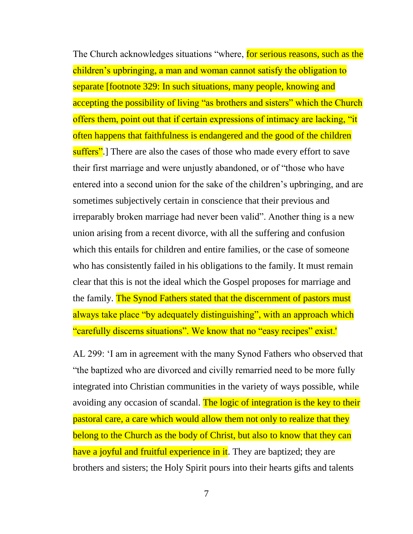The Church acknowledges situations "where, for serious reasons, such as the children's upbringing, a man and woman cannot satisfy the obligation to separate [footnote 329: In such situations, many people, knowing and accepting the possibility of living "as brothers and sisters" which the Church offers them, point out that if certain expressions of intimacy are lacking, "it often happens that faithfulness is endangered and the good of the children suffers".] There are also the cases of those who made every effort to save their first marriage and were unjustly abandoned, or of "those who have entered into a second union for the sake of the children's upbringing, and are sometimes subjectively certain in conscience that their previous and irreparably broken marriage had never been valid". Another thing is a new union arising from a recent divorce, with all the suffering and confusion which this entails for children and entire families, or the case of someone who has consistently failed in his obligations to the family. It must remain clear that this is not the ideal which the Gospel proposes for marriage and the family. The Synod Fathers stated that the discernment of pastors must always take place "by adequately distinguishing", with an approach which "carefully discerns situations". We know that no "easy recipes" exist.'

AL 299: 'I am in agreement with the many Synod Fathers who observed that "the baptized who are divorced and civilly remarried need to be more fully integrated into Christian communities in the variety of ways possible, while avoiding any occasion of scandal. The logic of integration is the key to their pastoral care, a care which would allow them not only to realize that they belong to the Church as the body of Christ, but also to know that they can have a joyful and fruitful experience in it. They are baptized; they are brothers and sisters; the Holy Spirit pours into their hearts gifts and talents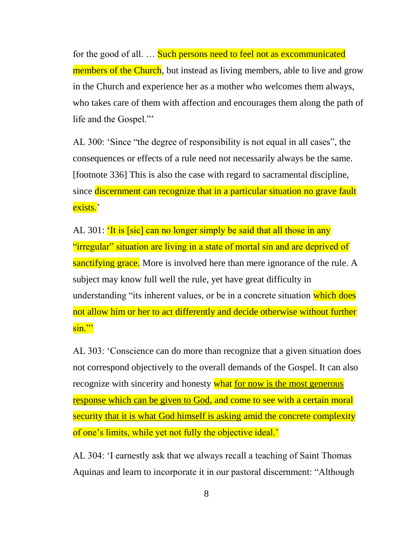for the good of all. ... Such persons need to feel not as excommunicated members of the Church, but instead as living members, able to live and grow in the Church and experience her as a mother who welcomes them always, who takes care of them with affection and encourages them along the path of life and the Gospel."'

AL 300: 'Since "the degree of responsibility is not equal in all cases", the consequences or effects of a rule need not necessarily always be the same. [footnote 336] This is also the case with regard to sacramental discipline, since discernment can recognize that in a particular situation no grave fault exists.'

AL 301: 'It is [sic] can no longer simply be said that all those in any "irregular" situation are living in a state of mortal sin and are deprived of sanctifying grace. More is involved here than mere ignorance of the rule. A subject may know full well the rule, yet have great difficulty in understanding "its inherent values, or be in a concrete situation which does not allow him or her to act differently and decide otherwise without further sin."'

AL 303: 'Conscience can do more than recognize that a given situation does not correspond objectively to the overall demands of the Gospel. It can also recognize with sincerity and honesty what for now is the most generous response which can be given to God, and come to see with a certain moral security that it is what God himself is asking amid the concrete complexity of one's limits, while yet not fully the objective ideal.'

AL 304: 'I earnestly ask that we always recall a teaching of Saint Thomas Aquinas and learn to incorporate it in our pastoral discernment: "Although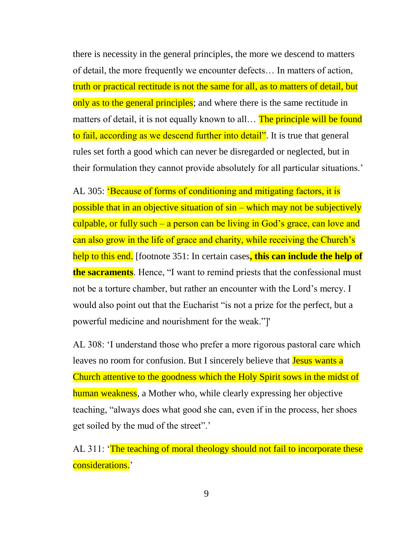there is necessity in the general principles, the more we descend to matters of detail, the more frequently we encounter defects… In matters of action, truth or practical rectitude is not the same for all, as to matters of detail, but only as to the general principles; and where there is the same rectitude in matters of detail, it is not equally known to all... The principle will be found to fail, according as we descend further into detail". It is true that general rules set forth a good which can never be disregarded or neglected, but in their formulation they cannot provide absolutely for all particular situations.'

AL 305: 'Because of forms of conditioning and mitigating factors, it is possible that in an objective situation of sin – which may not be subjectively culpable, or fully such – a person can be living in God's grace, can love and can also grow in the life of grace and charity, while receiving the Church's help to this end. [footnote 351: In certain cases**, this can include the help of the sacraments**. Hence, "I want to remind priests that the confessional must not be a torture chamber, but rather an encounter with the Lord's mercy. I would also point out that the Eucharist "is not a prize for the perfect, but a powerful medicine and nourishment for the weak."]'

AL 308: 'I understand those who prefer a more rigorous pastoral care which leaves no room for confusion. But I sincerely believe that **Jesus wants a** Church attentive to the goodness which the Holy Spirit sows in the midst of human weakness, a Mother who, while clearly expressing her objective teaching, "always does what good she can, even if in the process, her shoes get soiled by the mud of the street".'

AL 311: 'The teaching of moral theology should not fail to incorporate these considerations.'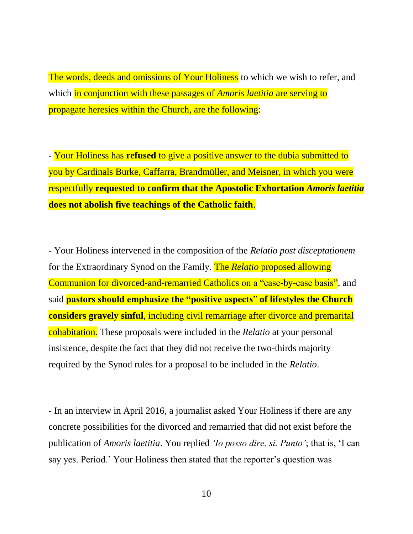The words, deeds and omissions of Your Holiness to which we wish to refer, and which in conjunction with these passages of *Amoris laetitia* are serving to propagate heresies within the Church, are the following:

- Your Holiness has **refused** to give a positive answer to the dubia submitted to you by Cardinals Burke, Caffarra, Brandmüller, and Meisner, in which you were respectfully **requested to confirm that the Apostolic Exhortation** *Amoris laetitia* **does not abolish five teachings of the Catholic faith**.

- Your Holiness intervened in the composition of the *Relatio post disceptationem* for the Extraordinary Synod on the Family. The *Relatio* proposed allowing Communion for divorced-and-remarried Catholics on a "case-by-case basis", and said **pastors should emphasize the "positive aspects**" **of lifestyles the Church considers gravely sinful**, including civil remarriage after divorce and premarital cohabitation. These proposals were included in the *Relatio* at your personal insistence, despite the fact that they did not receive the two-thirds majority required by the Synod rules for a proposal to be included in the *Relatio*.

- In an interview in April 2016, a journalist asked Your Holiness if there are any concrete possibilities for the divorced and remarried that did not exist before the publication of *Amoris laetitia*. You replied *'Io posso dire, si. Punto'*; that is, 'I can say yes. Period.' Your Holiness then stated that the reporter's question was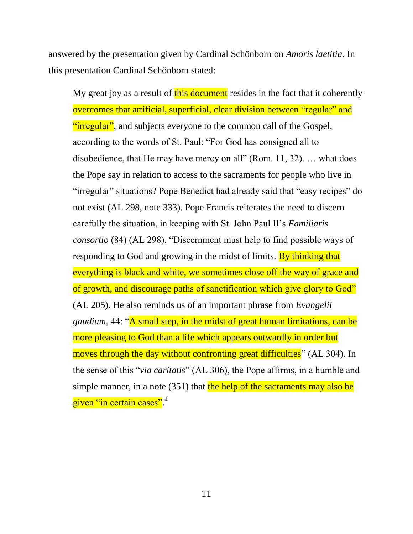answered by the presentation given by Cardinal Schönborn on *Amoris laetitia*. In this presentation Cardinal Schönborn stated:

My great joy as a result of this document resides in the fact that it coherently overcomes that artificial, superficial, clear division between "regular" and "irregular", and subjects everyone to the common call of the Gospel, according to the words of St. Paul: "For God has consigned all to disobedience, that He may have mercy on all" (Rom. 11, 32). … what does the Pope say in relation to access to the sacraments for people who live in "irregular" situations? Pope Benedict had already said that "easy recipes" do not exist (AL 298, note 333). Pope Francis reiterates the need to discern carefully the situation, in keeping with St. John Paul II's *Familiaris consortio* (84) (AL 298). "Discernment must help to find possible ways of responding to God and growing in the midst of limits. By thinking that everything is black and white, we sometimes close off the way of grace and of growth, and discourage paths of sanctification which give glory to God" (AL 205). He also reminds us of an important phrase from *Evangelii gaudium*, 44: "A small step, in the midst of great human limitations, can be more pleasing to God than a life which appears outwardly in order but moves through the day without confronting great difficulties" (AL 304). In the sense of this "*via caritatis*" (AL 306), the Pope affirms, in a humble and simple manner, in a note  $(351)$  that the help of the sacraments may also be given "in certain cases".<sup>4</sup>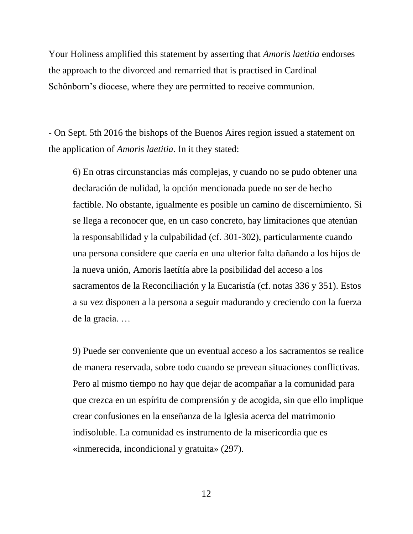Your Holiness amplified this statement by asserting that *Amoris laetitia* endorses the approach to the divorced and remarried that is practised in Cardinal Schönborn's diocese, where they are permitted to receive communion.

- On Sept. 5th 2016 the bishops of the Buenos Aires region issued a statement on the application of *Amoris laetitia*. In it they stated:

6) En otras circunstancias más complejas, y cuando no se pudo obtener una declaración de nulidad, la opción mencionada puede no ser de hecho factible. No obstante, igualmente es posible un camino de discernimiento. Si se llega a reconocer que, en un caso concreto, hay limitaciones que atenúan la responsabilidad y la culpabilidad (cf. 301-302), particularmente cuando una persona considere que caería en una ulterior falta dañando a los hijos de la nueva unión, Amoris laetítía abre la posibilidad del acceso a los sacramentos de la Reconciliación y la Eucaristía (cf. notas 336 y 351). Estos a su vez disponen a la persona a seguir madurando y creciendo con la fuerza de la gracia. …

9) Puede ser conveniente que un eventual acceso a los sacramentos se realice de manera reservada, sobre todo cuando se prevean situaciones conflictivas. Pero al mismo tiempo no hay que dejar de acompañar a la comunidad para que crezca en un espíritu de comprensión y de acogida, sin que ello implique crear confusiones en la enseñanza de la Iglesia acerca del matrimonio indisoluble. La comunidad es instrumento de la misericordia que es «inmerecida, incondicional y gratuita» (297).

12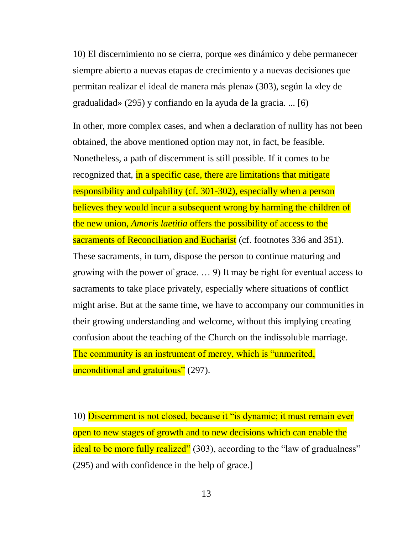10) El discernimiento no se cierra, porque «es dinámico y debe permanecer siempre abierto a nuevas etapas de crecimiento y a nuevas decisiones que permitan realizar el ideal de manera más plena» (303), según la «ley de gradualidad» (295) y confiando en la ayuda de la gracia. ... [6)

In other, more complex cases, and when a declaration of nullity has not been obtained, the above mentioned option may not, in fact, be feasible. Nonetheless, a path of discernment is still possible. If it comes to be recognized that, in a specific case, there are limitations that mitigate responsibility and culpability (cf. 301-302), especially when a person believes they would incur a subsequent wrong by harming the children of the new union, *Amoris laetitia* offers the possibility of access to the sacraments of Reconciliation and Eucharist (cf. footnotes 336 and 351). These sacraments, in turn, dispose the person to continue maturing and growing with the power of grace. … 9) It may be right for eventual access to sacraments to take place privately, especially where situations of conflict might arise. But at the same time, we have to accompany our communities in their growing understanding and welcome, without this implying creating confusion about the teaching of the Church on the indissoluble marriage. The community is an instrument of mercy, which is "unmerited,

unconditional and gratuitous" (297).

10) Discernment is not closed, because it "is dynamic; it must remain ever open to new stages of growth and to new decisions which can enable the ideal to be more fully realized" (303), according to the "law of gradualness" (295) and with confidence in the help of grace.]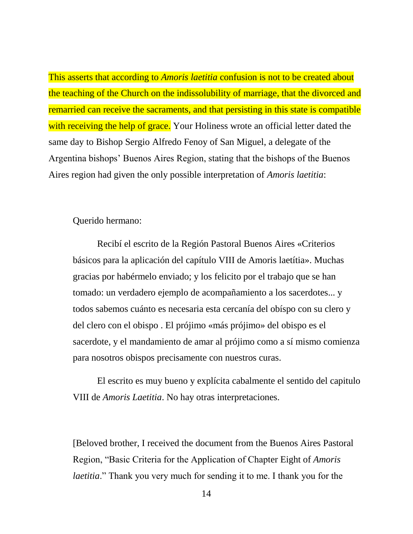This asserts that according to *Amoris laetitia* confusion is not to be created about the teaching of the Church on the indissolubility of marriage, that the divorced and remarried can receive the sacraments, and that persisting in this state is compatible with receiving the help of grace. Your Holiness wrote an official letter dated the same day to Bishop Sergio Alfredo Fenoy of San Miguel, a delegate of the Argentina bishops' Buenos Aires Region, stating that the bishops of the Buenos Aires region had given the only possible interpretation of *Amoris laetitia*:

Querido hermano:

Recibí el escrito de la Región Pastoral Buenos Aires «Criterios básicos para la aplicación del capítulo VIII de Amoris laetítia». Muchas gracias por habérmelo enviado; y los felicito por el trabajo que se han tomado: un verdadero ejemplo de acompañamiento a los sacerdotes... y todos sabemos cuánto es necesaria esta cercanía del obíspo con su clero y del clero con el obispo . El prójimo «más prójimo» del obispo es el sacerdote, y el mandamiento de amar al prójimo como a sí mismo comienza para nosotros obispos precisamente con nuestros curas.

El escrito es muy bueno y explícita cabalmente el sentido del capitulo VIII de *Amoris Laetitia*. No hay otras interpretaciones.

[Beloved brother, I received the document from the Buenos Aires Pastoral Region, "Basic Criteria for the Application of Chapter Eight of *Amoris laetitia*." Thank you very much for sending it to me. I thank you for the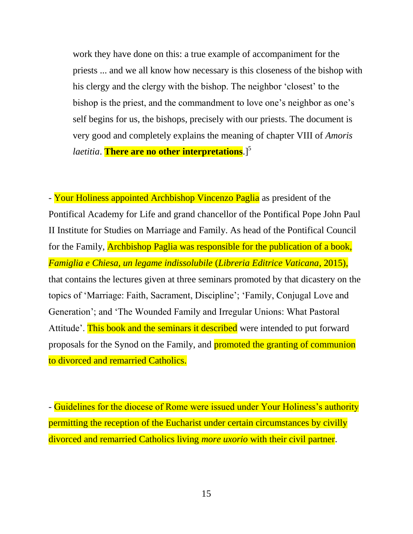work they have done on this: a true example of accompaniment for the priests ... and we all know how necessary is this closeness of the bishop with his clergy and the clergy with the bishop. The neighbor 'closest' to the bishop is the priest, and the commandment to love one's neighbor as one's self begins for us, the bishops, precisely with our priests. The document is very good and completely explains the meaning of chapter VIII of *Amoris laetitia*. **There are no other interpretations**.<sup>[5]</sup>

- Your Holiness appointed Archbishop Vincenzo Paglia as president of the Pontifical Academy for Life and grand chancellor of the Pontifical Pope John Paul II Institute for Studies on Marriage and Family. As head of the Pontifical Council for the Family, Archbishop Paglia was responsible for the publication of a book, *Famiglia e Chiesa, un legame indissolubile* (*Libreria Editrice Vaticana*, 2015), that contains the lectures given at three seminars promoted by that dicastery on the topics of 'Marriage: Faith, Sacrament, Discipline'; 'Family, Conjugal Love and Generation'; and 'The Wounded Family and Irregular Unions: What Pastoral Attitude'. This book and the seminars it described were intended to put forward proposals for the Synod on the Family, and promoted the granting of communion to divorced and remarried Catholics.

- Guidelines for the diocese of Rome were issued under Your Holiness's authority permitting the reception of the Eucharist under certain circumstances by civilly divorced and remarried Catholics living *more uxorio* with their civil partner.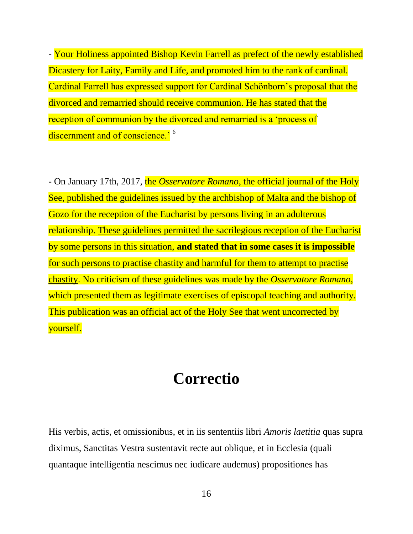- Your Holiness appointed Bishop Kevin Farrell as prefect of the newly established Dicastery for Laity, Family and Life, and promoted him to the rank of cardinal. Cardinal Farrell has expressed support for Cardinal Schönborn's proposal that the divorced and remarried should receive communion. He has stated that the reception of communion by the divorced and remarried is a 'process of discernment and of conscience.<sup>' 6</sup>

- On January 17th, 2017, the *Osservatore Romano*, the official journal of the Holy See, published the guidelines issued by the archbishop of Malta and the bishop of Gozo for the reception of the Eucharist by persons living in an adulterous relationship. These guidelines permitted the sacrilegious reception of the Eucharist by some persons in this situation, **and stated that in some cases it is impossible**  for such persons to practise chastity and harmful for them to attempt to practise chastity. No criticism of these guidelines was made by the *Osservatore Romano*, which presented them as legitimate exercises of episcopal teaching and authority. This publication was an official act of the Holy See that went uncorrected by yourself.

## **Correctio**

His verbis, actis, et omissionibus, et in iis sententiis libri *Amoris laetitia* quas supra diximus, Sanctitas Vestra sustentavit recte aut oblique, et in Ecclesia (quali quantaque intelligentia nescimus nec iudicare audemus) propositiones has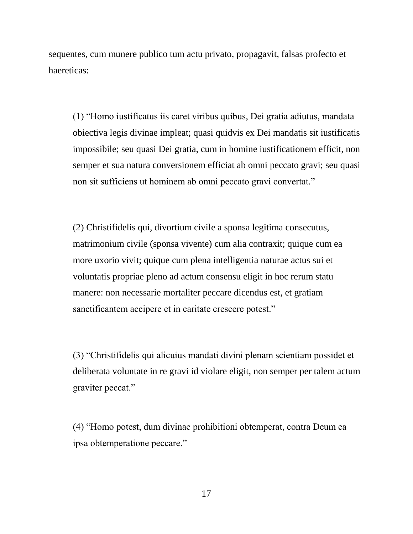sequentes, cum munere publico tum actu privato, propagavit, falsas profecto et haereticas:

(1) "Homo iustificatus iis caret viribus quibus, Dei gratia adiutus, mandata obiectiva legis divinae impleat; quasi quidvis ex Dei mandatis sit iustificatis impossibile; seu quasi Dei gratia, cum in homine iustificationem efficit, non semper et sua natura conversionem efficiat ab omni peccato gravi; seu quasi non sit sufficiens ut hominem ab omni peccato gravi convertat."

(2) Christifidelis qui, divortium civile a sponsa legitima consecutus, matrimonium civile (sponsa vivente) cum alia contraxit; quique cum ea more uxorio vivit; quique cum plena intelligentia naturae actus sui et voluntatis propriae pleno ad actum consensu eligit in hoc rerum statu manere: non necessarie mortaliter peccare dicendus est, et gratiam sanctificantem accipere et in caritate crescere potest."

(3) "Christifidelis qui alicuius mandati divini plenam scientiam possidet et deliberata voluntate in re gravi id violare eligit, non semper per talem actum graviter peccat."

(4) "Homo potest, dum divinae prohibitioni obtemperat, contra Deum ea ipsa obtemperatione peccare."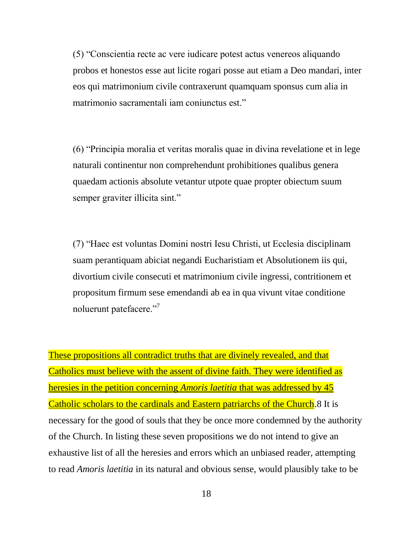(5) "Conscientia recte ac vere iudicare potest actus venereos aliquando probos et honestos esse aut licite rogari posse aut etiam a Deo mandari, inter eos qui matrimonium civile contraxerunt quamquam sponsus cum alia in matrimonio sacramentali iam coniunctus est."

(6) "Principia moralia et veritas moralis quae in divina revelatione et in lege naturali continentur non comprehendunt prohibitiones qualibus genera quaedam actionis absolute vetantur utpote quae propter obiectum suum semper graviter illicita sint."

(7) "Haec est voluntas Domini nostri Iesu Christi, ut Ecclesia disciplinam suam perantiquam abiciat negandi Eucharistiam et Absolutionem iis qui, divortium civile consecuti et matrimonium civile ingressi, contritionem et propositum firmum sese emendandi ab ea in qua vivunt vitae conditione noluerunt patefacere."<sup>7</sup>

These propositions all contradict truths that are divinely revealed, and that Catholics must believe with the assent of divine faith. They were identified as heresies in the petition concerning *Amoris laetitia* that was addressed by 45 Catholic scholars to the cardinals and Eastern patriarchs of the Church.8 It is necessary for the good of souls that they be once more condemned by the authority of the Church. In listing these seven propositions we do not intend to give an exhaustive list of all the heresies and errors which an unbiased reader, attempting to read *Amoris laetitia* in its natural and obvious sense, would plausibly take to be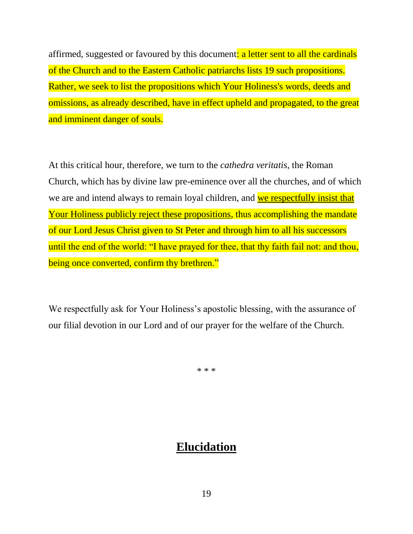affirmed, suggested or favoured by this document: a letter sent to all the cardinals of the Church and to the Eastern Catholic patriarchs lists 19 such propositions. Rather, we seek to list the propositions which Your Holiness's words, deeds and omissions, as already described, have in effect upheld and propagated, to the great and imminent danger of souls.

At this critical hour, therefore, we turn to the *cathedra veritatis*, the Roman Church, which has by divine law pre-eminence over all the churches, and of which we are and intend always to remain loyal children, and we respectfully insist that Your Holiness publicly reject these propositions, thus accomplishing the mandate of our Lord Jesus Christ given to St Peter and through him to all his successors until the end of the world: "I have prayed for thee, that thy faith fail not: and thou, being once converted, confirm thy brethren."

We respectfully ask for Your Holiness's apostolic blessing, with the assurance of our filial devotion in our Lord and of our prayer for the welfare of the Church.

\* \* \*

### **Elucidation**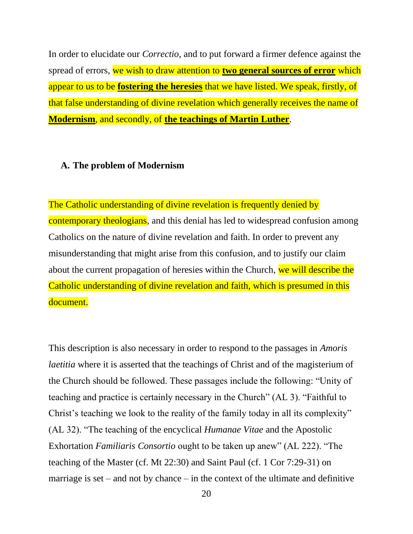In order to elucidate our *Correctio*, and to put forward a firmer defence against the spread of errors, we wish to draw attention to **two general sources of error** which appear to us to be **fostering the heresies** that we have listed. We speak, firstly, of that false understanding of divine revelation which generally receives the name of **Modernism**, and secondly, of **the teachings of Martin Luther**.

#### **A. The problem of Modernism**

The Catholic understanding of divine revelation is frequently denied by contemporary theologians, and this denial has led to widespread confusion among Catholics on the nature of divine revelation and faith. In order to prevent any misunderstanding that might arise from this confusion, and to justify our claim about the current propagation of heresies within the Church, we will describe the Catholic understanding of divine revelation and faith, which is presumed in this document.

This description is also necessary in order to respond to the passages in *Amoris laetitia* where it is asserted that the teachings of Christ and of the magisterium of the Church should be followed. These passages include the following: "Unity of teaching and practice is certainly necessary in the Church" (AL 3). "Faithful to Christ's teaching we look to the reality of the family today in all its complexity" (AL 32). "The teaching of the encyclical *Humanae Vitae* and the Apostolic Exhortation *Familiaris Consortio* ought to be taken up anew" (AL 222). "The teaching of the Master (cf. Mt 22:30) and Saint Paul (cf. 1 Cor 7:29-31) on marriage is set – and not by chance – in the context of the ultimate and definitive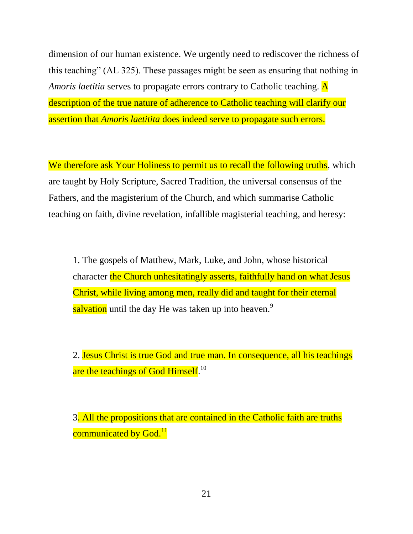dimension of our human existence. We urgently need to rediscover the richness of this teaching" (AL 325). These passages might be seen as ensuring that nothing in *Amoris laetitia* serves to propagate errors contrary to Catholic teaching. A description of the true nature of adherence to Catholic teaching will clarify our assertion that *Amoris laetitita* does indeed serve to propagate such errors.

We therefore ask Your Holiness to permit us to recall the following truths, which are taught by Holy Scripture, Sacred Tradition, the universal consensus of the Fathers, and the magisterium of the Church, and which summarise Catholic teaching on faith, divine revelation, infallible magisterial teaching, and heresy:

1. The gospels of Matthew, Mark, Luke, and John, whose historical character the Church unhesitatingly asserts, faithfully hand on what Jesus Christ, while living among men, really did and taught for their eternal salvation until the day He was taken up into heaven.<sup>9</sup>

2. Jesus Christ is true God and true man. In consequence, all his teachings are the teachings of God Himself.<sup>10</sup>

3. All the propositions that are contained in the Catholic faith are truths communicated by God.<sup>11</sup>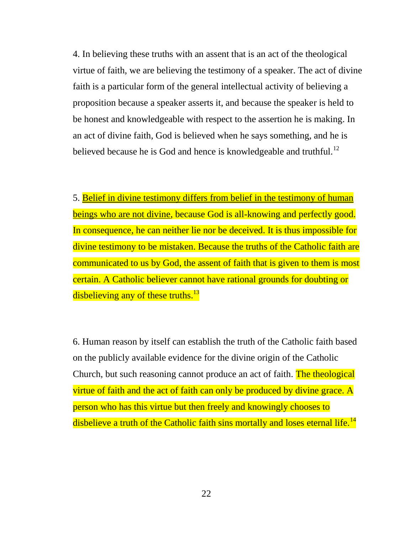4. In believing these truths with an assent that is an act of the theological virtue of faith, we are believing the testimony of a speaker. The act of divine faith is a particular form of the general intellectual activity of believing a proposition because a speaker asserts it, and because the speaker is held to be honest and knowledgeable with respect to the assertion he is making. In an act of divine faith, God is believed when he says something, and he is believed because he is God and hence is knowledgeable and truthful.<sup>12</sup>

5. Belief in divine testimony differs from belief in the testimony of human beings who are not divine, because God is all-knowing and perfectly good. In consequence, he can neither lie nor be deceived. It is thus impossible for divine testimony to be mistaken. Because the truths of the Catholic faith are communicated to us by God, the assent of faith that is given to them is most certain. A Catholic believer cannot have rational grounds for doubting or disbelieving any of these truths.<sup>13</sup>

6. Human reason by itself can establish the truth of the Catholic faith based on the publicly available evidence for the divine origin of the Catholic Church, but such reasoning cannot produce an act of faith. The theological virtue of faith and the act of faith can only be produced by divine grace. A person who has this virtue but then freely and knowingly chooses to disbelieve a truth of the Catholic faith sins mortally and loses eternal life.<sup>14</sup>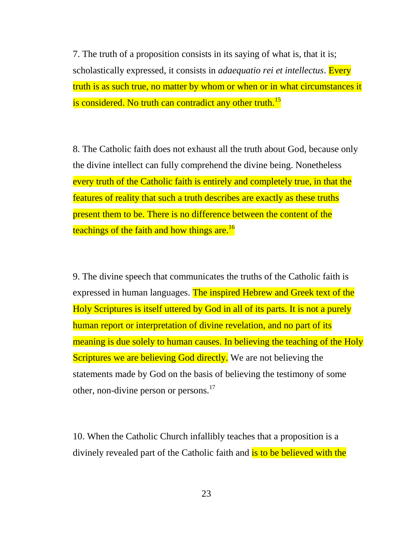7. The truth of a proposition consists in its saying of what is, that it is; scholastically expressed, it consists in *adaequatio rei et intellectus*. Every truth is as such true, no matter by whom or when or in what circumstances it is considered. No truth can contradict any other truth.<sup>15</sup>

8. The Catholic faith does not exhaust all the truth about God, because only the divine intellect can fully comprehend the divine being. Nonetheless every truth of the Catholic faith is entirely and completely true, in that the features of reality that such a truth describes are exactly as these truths present them to be. There is no difference between the content of the teachings of the faith and how things are.<sup>16</sup>

9. The divine speech that communicates the truths of the Catholic faith is expressed in human languages. The inspired Hebrew and Greek text of the Holy Scriptures is itself uttered by God in all of its parts. It is not a purely human report or interpretation of divine revelation, and no part of its meaning is due solely to human causes. In believing the teaching of the Holy **Scriptures we are believing God directly.** We are not believing the statements made by God on the basis of believing the testimony of some other, non-divine person or persons.<sup>17</sup>

10. When the Catholic Church infallibly teaches that a proposition is a divinely revealed part of the Catholic faith and is to be believed with the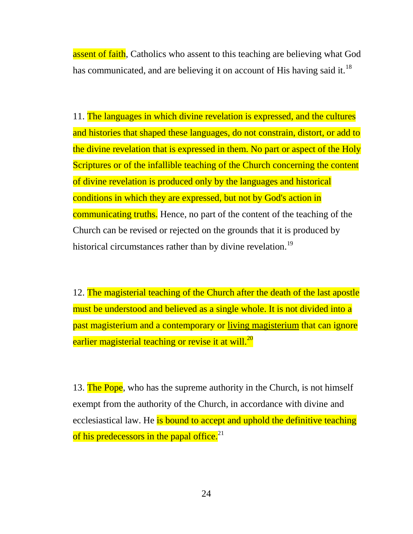assent of faith, Catholics who assent to this teaching are believing what God has communicated, and are believing it on account of His having said it.<sup>18</sup>

11. The languages in which divine revelation is expressed, and the cultures and histories that shaped these languages, do not constrain, distort, or add to the divine revelation that is expressed in them. No part or aspect of the Holy Scriptures or of the infallible teaching of the Church concerning the content of divine revelation is produced only by the languages and historical conditions in which they are expressed, but not by God's action in communicating truths. Hence, no part of the content of the teaching of the Church can be revised or rejected on the grounds that it is produced by historical circumstances rather than by divine revelation.<sup>19</sup>

12. The magisterial teaching of the Church after the death of the last apostle must be understood and believed as a single whole. It is not divided into a past magisterium and a contemporary or living magisterium that can ignore earlier magisterial teaching or revise it at will.<sup>20</sup>

13. The Pope, who has the supreme authority in the Church, is not himself exempt from the authority of the Church, in accordance with divine and ecclesiastical law. He is bound to accept and uphold the definitive teaching of his predecessors in the papal office.<sup>21</sup>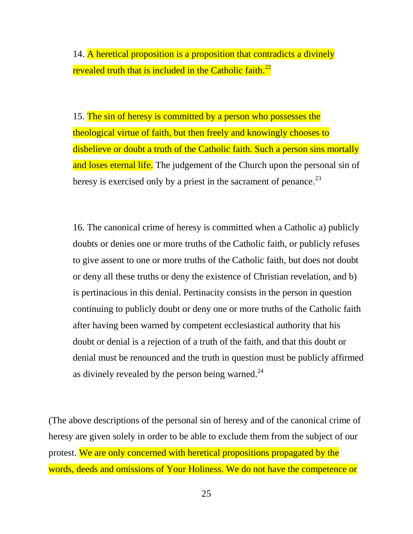14. A heretical proposition is a proposition that contradicts a divinely revealed truth that is included in the Catholic faith.<sup>22</sup>

15. The sin of heresy is committed by a person who possesses the theological virtue of faith, but then freely and knowingly chooses to disbelieve or doubt a truth of the Catholic faith. Such a person sins mortally and loses eternal life. The judgement of the Church upon the personal sin of heresy is exercised only by a priest in the sacrament of penance.<sup>23</sup>

16. The canonical crime of heresy is committed when a Catholic a) publicly doubts or denies one or more truths of the Catholic faith, or publicly refuses to give assent to one or more truths of the Catholic faith, but does not doubt or deny all these truths or deny the existence of Christian revelation, and b) is pertinacious in this denial. Pertinacity consists in the person in question continuing to publicly doubt or deny one or more truths of the Catholic faith after having been warned by competent ecclesiastical authority that his doubt or denial is a rejection of a truth of the faith, and that this doubt or denial must be renounced and the truth in question must be publicly affirmed as divinely revealed by the person being warned. $^{24}$ 

(The above descriptions of the personal sin of heresy and of the canonical crime of heresy are given solely in order to be able to exclude them from the subject of our protest. We are only concerned with heretical propositions propagated by the words, deeds and omissions of Your Holiness. We do not have the competence or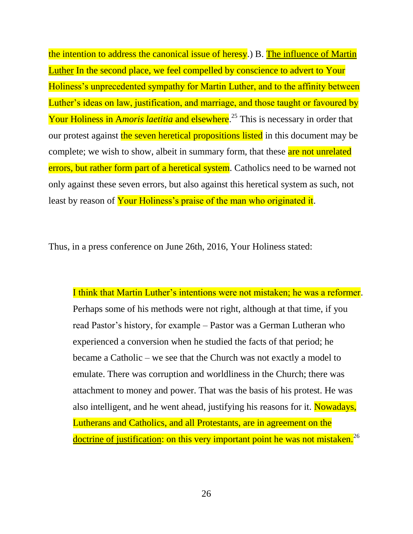the intention to address the canonical issue of heresy.) B. The influence of Martin Luther In the second place, we feel compelled by conscience to advert to Your Holiness's unprecedented sympathy for Martin Luther, and to the affinity between Luther's ideas on law, justification, and marriage, and those taught or favoured by Your Holiness in A*moris laetitia* and elsewhere. <sup>25</sup> This is necessary in order that our protest against the seven heretical propositions listed in this document may be complete; we wish to show, albeit in summary form, that these are not unrelated errors, but rather form part of a heretical system. Catholics need to be warned not only against these seven errors, but also against this heretical system as such, not least by reason of Your Holiness's praise of the man who originated it.

Thus, in a press conference on June 26th, 2016, Your Holiness stated:

I think that Martin Luther's intentions were not mistaken; he was a reformer. Perhaps some of his methods were not right, although at that time, if you read Pastor's history, for example – Pastor was a German Lutheran who experienced a conversion when he studied the facts of that period; he became a Catholic – we see that the Church was not exactly a model to emulate. There was corruption and worldliness in the Church; there was attachment to money and power. That was the basis of his protest. He was also intelligent, and he went ahead, justifying his reasons for it. Nowadays, Lutherans and Catholics, and all Protestants, are in agreement on the doctrine of justification: on this very important point he was not mistaken.<sup>26</sup>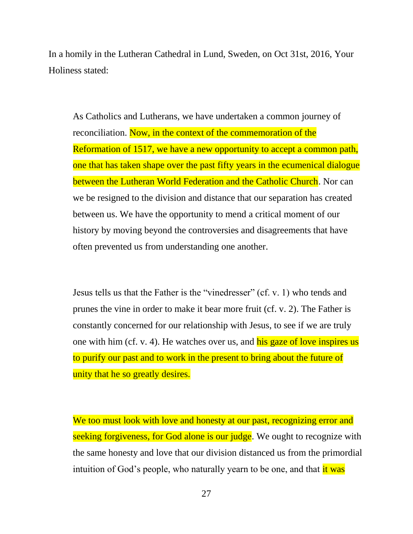In a homily in the Lutheran Cathedral in Lund, Sweden, on Oct 31st, 2016, Your Holiness stated:

As Catholics and Lutherans, we have undertaken a common journey of reconciliation. Now, in the context of the commemoration of the Reformation of 1517, we have a new opportunity to accept a common path, one that has taken shape over the past fifty years in the ecumenical dialogue between the Lutheran World Federation and the Catholic Church. Nor can we be resigned to the division and distance that our separation has created between us. We have the opportunity to mend a critical moment of our history by moving beyond the controversies and disagreements that have often prevented us from understanding one another.

Jesus tells us that the Father is the "vinedresser" (cf. v. 1) who tends and prunes the vine in order to make it bear more fruit (cf. v. 2). The Father is constantly concerned for our relationship with Jesus, to see if we are truly one with him (cf. v. 4). He watches over us, and his gaze of love inspires us to purify our past and to work in the present to bring about the future of unity that he so greatly desires.

We too must look with love and honesty at our past, recognizing error and seeking forgiveness, for God alone is our judge. We ought to recognize with the same honesty and love that our division distanced us from the primordial intuition of God's people, who naturally yearn to be one, and that *it* was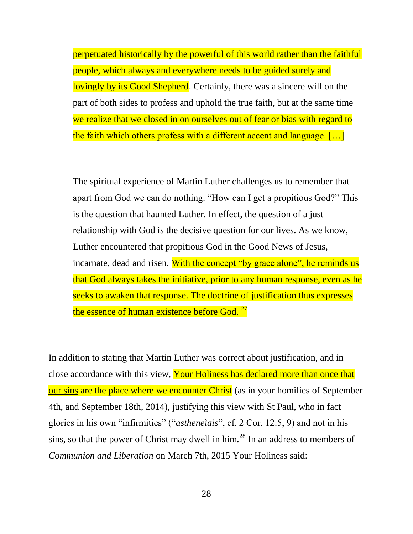perpetuated historically by the powerful of this world rather than the faithful people, which always and everywhere needs to be guided surely and lovingly by its Good Shepherd. Certainly, there was a sincere will on the part of both sides to profess and uphold the true faith, but at the same time we realize that we closed in on ourselves out of fear or bias with regard to the faith which others profess with a different accent and language. […]

The spiritual experience of Martin Luther challenges us to remember that apart from God we can do nothing. "How can I get a propitious God?" This is the question that haunted Luther. In effect, the question of a just relationship with God is the decisive question for our lives. As we know, Luther encountered that propitious God in the Good News of Jesus, incarnate, dead and risen. With the concept "by grace alone", he reminds us that God always takes the initiative, prior to any human response, even as he seeks to awaken that response. The doctrine of justification thus expresses the essence of human existence before God.<sup>27</sup>

In addition to stating that Martin Luther was correct about justification, and in close accordance with this view, Your Holiness has declared more than once that our sins are the place where we encounter Christ (as in your homilies of September 4th, and September 18th, 2014), justifying this view with St Paul, who in fact glories in his own "infirmities" ("*astheneìais*", cf. 2 Cor. 12:5, 9) and not in his sins, so that the power of Christ may dwell in him.<sup>28</sup> In an address to members of *Communion and Liberation* on March 7th, 2015 Your Holiness said: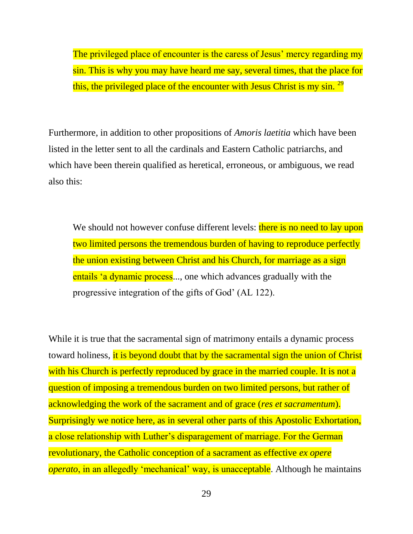The privileged place of encounter is the caress of Jesus' mercy regarding my sin. This is why you may have heard me say, several times, that the place for this, the privileged place of the encounter with Jesus Christ is my sin.  $^{29}$ 

Furthermore, in addition to other propositions of *Amoris laetitia* which have been listed in the letter sent to all the cardinals and Eastern Catholic patriarchs, and which have been therein qualified as heretical, erroneous, or ambiguous, we read also this:

We should not however confuse different levels: there is no need to lay upon two limited persons the tremendous burden of having to reproduce perfectly the union existing between Christ and his Church, for marriage as a sign entails 'a dynamic process..., one which advances gradually with the progressive integration of the gifts of God' (AL 122).

While it is true that the sacramental sign of matrimony entails a dynamic process toward holiness, it is beyond doubt that by the sacramental sign the union of Christ with his Church is perfectly reproduced by grace in the married couple. It is not a question of imposing a tremendous burden on two limited persons, but rather of acknowledging the work of the sacrament and of grace (*res et sacramentum*). Surprisingly we notice here, as in several other parts of this Apostolic Exhortation, a close relationship with Luther's disparagement of marriage. For the German revolutionary, the Catholic conception of a sacrament as effective *ex opere operato*, in an allegedly 'mechanical' way, is unacceptable. Although he maintains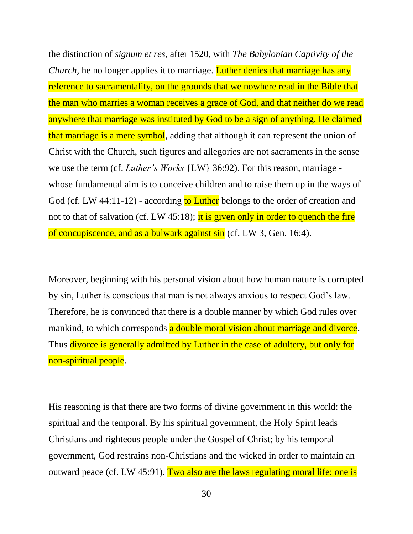the distinction of *signum et res*, after 1520, with *The Babylonian Captivity of the Church*, he no longer applies it to marriage. Luther denies that marriage has any reference to sacramentality, on the grounds that we nowhere read in the Bible that the man who marries a woman receives a grace of God, and that neither do we read anywhere that marriage was instituted by God to be a sign of anything. He claimed that marriage is a mere symbol, adding that although it can represent the union of Christ with the Church, such figures and allegories are not sacraments in the sense we use the term (cf. *Luther's Works* {LW} 36:92). For this reason, marriage whose fundamental aim is to conceive children and to raise them up in the ways of God (cf. LW 44:11-12) - according to Luther belongs to the order of creation and not to that of salvation (cf. LW 45:18); it is given only in order to quench the fire of concupiscence, and as a bulwark against sin (cf. LW 3, Gen. 16:4).

Moreover, beginning with his personal vision about how human nature is corrupted by sin, Luther is conscious that man is not always anxious to respect God's law. Therefore, he is convinced that there is a double manner by which God rules over mankind, to which corresponds a double moral vision about marriage and divorce. Thus divorce is generally admitted by Luther in the case of adultery, but only for non-spiritual people.

His reasoning is that there are two forms of divine government in this world: the spiritual and the temporal. By his spiritual government, the Holy Spirit leads Christians and righteous people under the Gospel of Christ; by his temporal government, God restrains non-Christians and the wicked in order to maintain an outward peace (cf. LW 45:91). Two also are the laws regulating moral life: one is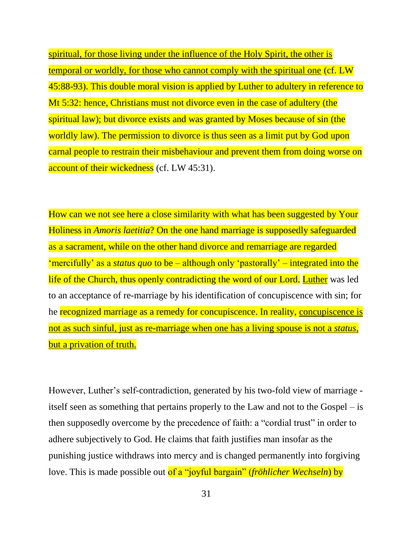spiritual, for those living under the influence of the Holy Spirit, the other is temporal or worldly, for those who cannot comply with the spiritual one (cf. LW 45:88-93). This double moral vision is applied by Luther to adultery in reference to Mt 5:32: hence, Christians must not divorce even in the case of adultery (the spiritual law); but divorce exists and was granted by Moses because of sin (the worldly law). The permission to divorce is thus seen as a limit put by God upon carnal people to restrain their misbehaviour and prevent them from doing worse on account of their wickedness (cf. LW 45:31).

How can we not see here a close similarity with what has been suggested by Your Holiness in *Amoris laetitia*? On the one hand marriage is supposedly safeguarded as a sacrament, while on the other hand divorce and remarriage are regarded 'mercifully' as a *status quo* to be – although only 'pastorally' – integrated into the life of the Church, thus openly contradicting the word of our Lord. Luther was led to an acceptance of re-marriage by his identification of concupiscence with sin; for he recognized marriage as a remedy for concupiscence. In reality, concupiscence is not as such sinful, just as re-marriage when one has a living spouse is not a *status*, but a privation of truth.

However, Luther's self-contradiction, generated by his two-fold view of marriage itself seen as something that pertains properly to the Law and not to the Gospel – is then supposedly overcome by the precedence of faith: a "cordial trust" in order to adhere subjectively to God. He claims that faith justifies man insofar as the punishing justice withdraws into mercy and is changed permanently into forgiving love. This is made possible out of a "joyful bargain" (*fröhlicher Wechseln*) by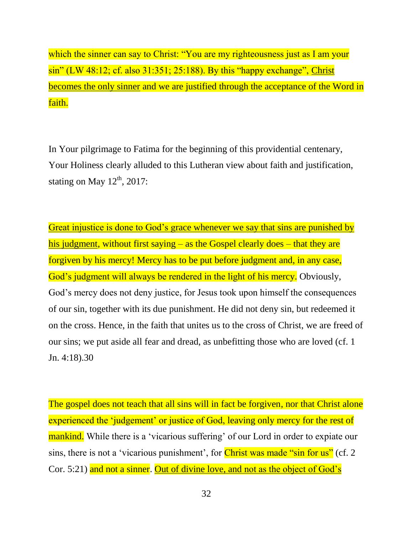which the sinner can say to Christ: "You are my righteousness just as I am your sin" (LW 48:12; cf. also 31:351; 25:188). By this "happy exchange", Christ becomes the only sinner and we are justified through the acceptance of the Word in faith.

In Your pilgrimage to Fatima for the beginning of this providential centenary, Your Holiness clearly alluded to this Lutheran view about faith and justification, stating on May  $12^{th}$ , 2017:

Great injustice is done to God's grace whenever we say that sins are punished by his judgment, without first saying – as the Gospel clearly does – that they are forgiven by his mercy! Mercy has to be put before judgment and, in any case, God's judgment will always be rendered in the light of his mercy. Obviously, God's mercy does not deny justice, for Jesus took upon himself the consequences of our sin, together with its due punishment. He did not deny sin, but redeemed it on the cross. Hence, in the faith that unites us to the cross of Christ, we are freed of our sins; we put aside all fear and dread, as unbefitting those who are loved (cf. 1 Jn. 4:18).30

The gospel does not teach that all sins will in fact be forgiven, nor that Christ alone experienced the 'judgement' or justice of God, leaving only mercy for the rest of mankind. While there is a 'vicarious suffering' of our Lord in order to expiate our sins, there is not a 'vicarious punishment', for Christ was made "sin for us" (cf. 2) Cor. 5:21) and not a sinner. Out of divine love, and not as the object of God's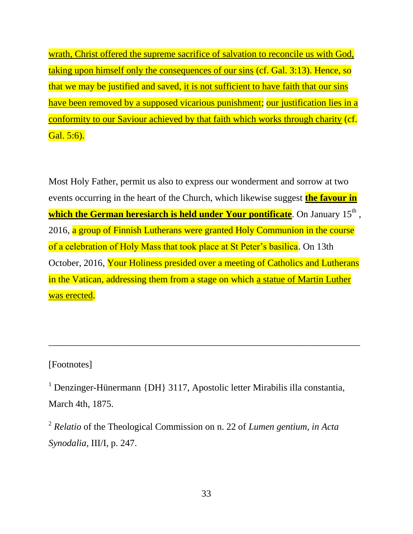wrath, Christ offered the supreme sacrifice of salvation to reconcile us with God, taking upon himself only the consequences of our sins (cf. Gal. 3:13). Hence, so that we may be justified and saved, it is not sufficient to have faith that our sins have been removed by a supposed vicarious punishment; our justification lies in a conformity to our Saviour achieved by that faith which works through charity (cf. Gal. 5:6).

Most Holy Father, permit us also to express our wonderment and sorrow at two events occurring in the heart of the Church, which likewise suggest **the favour in**  which the German heresiarch is held under Your pontificate. On January 15<sup>th</sup> , 2016, a group of Finnish Lutherans were granted Holy Communion in the course of a celebration of Holy Mass that took place at St Peter's basilica. On 13th October, 2016, Your Holiness presided over a meeting of Catholics and Lutherans in the Vatican, addressing them from a stage on which a statue of Martin Luther was erected.

### [Footnotes]

<sup>1</sup> Denzinger-Hünermann {DH} 3117, Apostolic letter Mirabilis illa constantia, March 4th, 1875.

 $\overline{a_1}$  ,  $\overline{a_2}$  ,  $\overline{a_3}$  ,  $\overline{a_4}$  ,  $\overline{a_5}$  ,  $\overline{a_6}$  ,  $\overline{a_7}$  ,  $\overline{a_8}$  ,  $\overline{a_9}$  ,  $\overline{a_9}$  ,  $\overline{a_9}$  ,  $\overline{a_9}$  ,  $\overline{a_9}$  ,  $\overline{a_9}$  ,  $\overline{a_9}$  ,  $\overline{a_9}$  ,  $\overline{a_9}$  ,

2 *Relatio* of the Theological Commission on n. 22 of *Lumen gentium, in Acta Synodalia*, III/I, p. 247.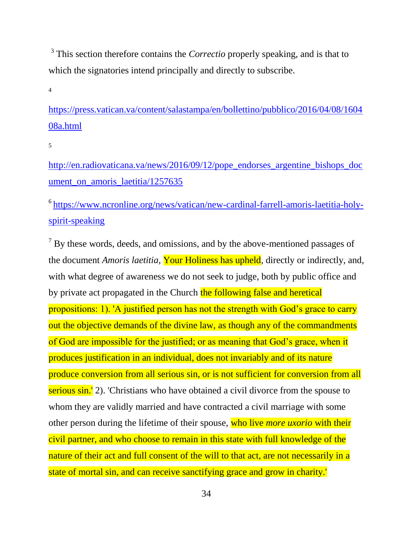<sup>3</sup> This section therefore contains the *Correctio* properly speaking, and is that to which the signatories intend principally and directly to subscribe.

4

[https://press.vatican.va/content/salastampa/en/bollettino/pubblico/2016/04/08/1604](https://press.vatican.va/content/salastampa/en/bollettino/pubblico/2016/04/08/160408a.html) [08a.html](https://press.vatican.va/content/salastampa/en/bollettino/pubblico/2016/04/08/160408a.html)

5

[http://en.radiovaticana.va/news/2016/09/12/pope\\_endorses\\_argentine\\_bishops\\_doc](http://en.radiovaticana.va/news/2016/09/12/pope_endorses_argentine_bishops_document_on_amoris_laetitia/1257635) ument on amoris laetitia/1257635

6 [https://www.ncronline.org/news/vatican/new-cardinal-farrell-amoris-laetitia-holy](https://www.ncronline.org/news/vatican/new-cardinal-farrell-amoris-laetitia-holy-spirit-speaking)[spirit-speaking](https://www.ncronline.org/news/vatican/new-cardinal-farrell-amoris-laetitia-holy-spirit-speaking)

 $<sup>7</sup>$  By these words, deeds, and omissions, and by the above-mentioned passages of</sup> the document *Amoris laetitia*, Your Holiness has upheld, directly or indirectly, and, with what degree of awareness we do not seek to judge, both by public office and by private act propagated in the Church the following false and heretical propositions: 1). 'A justified person has not the strength with God's grace to carry out the objective demands of the divine law, as though any of the commandments of God are impossible for the justified; or as meaning that God's grace, when it produces justification in an individual, does not invariably and of its nature produce conversion from all serious sin, or is not sufficient for conversion from all serious sin.' 2). 'Christians who have obtained a civil divorce from the spouse to whom they are validly married and have contracted a civil marriage with some other person during the lifetime of their spouse, who live *more uxorio* with their civil partner, and who choose to remain in this state with full knowledge of the nature of their act and full consent of the will to that act, are not necessarily in a state of mortal sin, and can receive sanctifying grace and grow in charity.'

34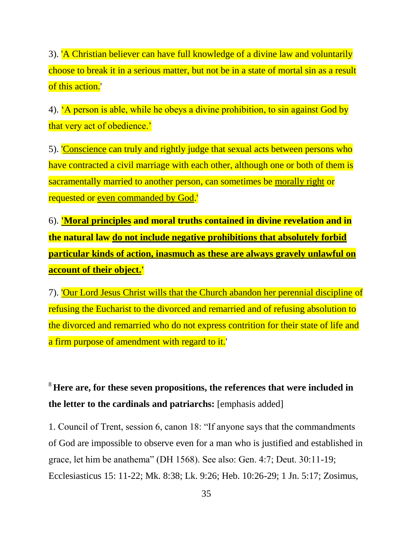3). 'A Christian believer can have full knowledge of a divine law and voluntarily choose to break it in a serious matter, but not be in a state of mortal sin as a result of this action.'

4). 'A person is able, while he obeys a divine prohibition, to sin against God by that very act of obedience.'

5). 'Conscience can truly and rightly judge that sexual acts between persons who have contracted a civil marriage with each other, although one or both of them is sacramentally married to another person, can sometimes be morally right or requested or even commanded by God.'

6). **'Moral principles and moral truths contained in divine revelation and in the natural law do not include negative prohibitions that absolutely forbid particular kinds of action, inasmuch as these are always gravely unlawful on account of their object.'**

7). 'Our Lord Jesus Christ wills that the Church abandon her perennial discipline of refusing the Eucharist to the divorced and remarried and of refusing absolution to the divorced and remarried who do not express contrition for their state of life and a firm purpose of amendment with regard to it.'

## <sup>8</sup>**Here are, for these seven propositions, the references that were included in the letter to the cardinals and patriarchs:** [emphasis added]

1. Council of Trent, session 6, canon 18: "If anyone says that the commandments of God are impossible to observe even for a man who is justified and established in grace, let him be anathema" (DH 1568). See also: Gen. 4:7; Deut. 30:11-19; Ecclesiasticus 15: 11-22; Mk. 8:38; Lk. 9:26; Heb. 10:26-29; 1 Jn. 5:17; Zosimus,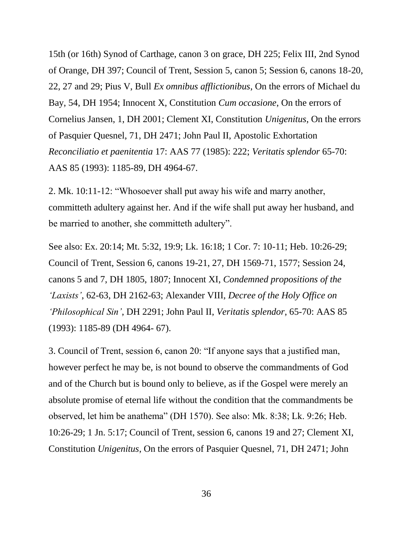15th (or 16th) Synod of Carthage, canon 3 on grace, DH 225; Felix III, 2nd Synod of Orange, DH 397; Council of Trent, Session 5, canon 5; Session 6, canons 18-20, 22, 27 and 29; Pius V, Bull *Ex omnibus afflictionibus*, On the errors of Michael du Bay, 54, DH 1954; Innocent X, Constitution *Cum occasione*, On the errors of Cornelius Jansen, 1, DH 2001; Clement XI, Constitution *Unigenitus*, On the errors of Pasquier Quesnel, 71, DH 2471; John Paul II, Apostolic Exhortation *Reconciliatio et paenitentia* 17: AAS 77 (1985): 222; *Veritatis splendor* 65-70: AAS 85 (1993): 1185-89, DH 4964-67.

2. Mk. 10:11-12: "Whosoever shall put away his wife and marry another, committeth adultery against her. And if the wife shall put away her husband, and be married to another, she committeth adultery".

See also: Ex. 20:14; Mt. 5:32, 19:9; Lk. 16:18; 1 Cor. 7: 10-11; Heb. 10:26-29; Council of Trent, Session 6, canons 19-21, 27, DH 1569-71, 1577; Session 24, canons 5 and 7, DH 1805, 1807; Innocent XI, *Condemned propositions of the 'Laxists'*, 62-63, DH 2162-63; Alexander VIII, *Decree of the Holy Office on 'Philosophical Sin'*, DH 2291; John Paul II, *Veritatis splendor*, 65-70: AAS 85 (1993): 1185-89 (DH 4964- 67).

3. Council of Trent, session 6, canon 20: "If anyone says that a justified man, however perfect he may be, is not bound to observe the commandments of God and of the Church but is bound only to believe, as if the Gospel were merely an absolute promise of eternal life without the condition that the commandments be observed, let him be anathema" (DH 1570). See also: Mk. 8:38; Lk. 9:26; Heb. 10:26-29; 1 Jn. 5:17; Council of Trent, session 6, canons 19 and 27; Clement XI, Constitution *Unigenitus*, On the errors of Pasquier Quesnel, 71, DH 2471; John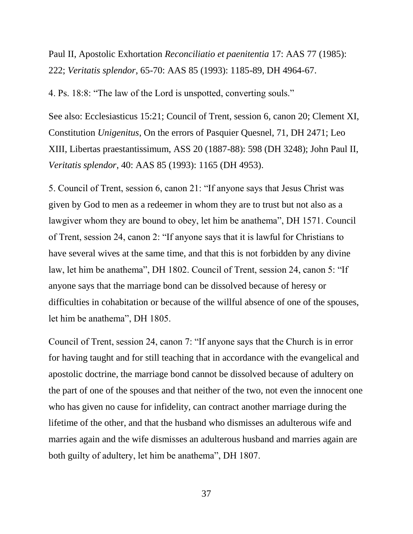Paul II, Apostolic Exhortation *Reconciliatio et paenitentia* 17: AAS 77 (1985): 222; *Veritatis splendor*, 65-70: AAS 85 (1993): 1185-89, DH 4964-67.

4. Ps. 18:8: "The law of the Lord is unspotted, converting souls."

See also: Ecclesiasticus 15:21; Council of Trent, session 6, canon 20; Clement XI, Constitution *Unigenitus*, On the errors of Pasquier Quesnel, 71, DH 2471; Leo XIII, Libertas praestantissimum, ASS 20 (1887-88): 598 (DH 3248); John Paul II, *Veritatis splendor*, 40: AAS 85 (1993): 1165 (DH 4953).

5. Council of Trent, session 6, canon 21: "If anyone says that Jesus Christ was given by God to men as a redeemer in whom they are to trust but not also as a lawgiver whom they are bound to obey, let him be anathema", DH 1571. Council of Trent, session 24, canon 2: "If anyone says that it is lawful for Christians to have several wives at the same time, and that this is not forbidden by any divine law, let him be anathema", DH 1802. Council of Trent, session 24, canon 5: "If anyone says that the marriage bond can be dissolved because of heresy or difficulties in cohabitation or because of the willful absence of one of the spouses, let him be anathema", DH 1805.

Council of Trent, session 24, canon 7: "If anyone says that the Church is in error for having taught and for still teaching that in accordance with the evangelical and apostolic doctrine, the marriage bond cannot be dissolved because of adultery on the part of one of the spouses and that neither of the two, not even the innocent one who has given no cause for infidelity, can contract another marriage during the lifetime of the other, and that the husband who dismisses an adulterous wife and marries again and the wife dismisses an adulterous husband and marries again are both guilty of adultery, let him be anathema", DH 1807.

37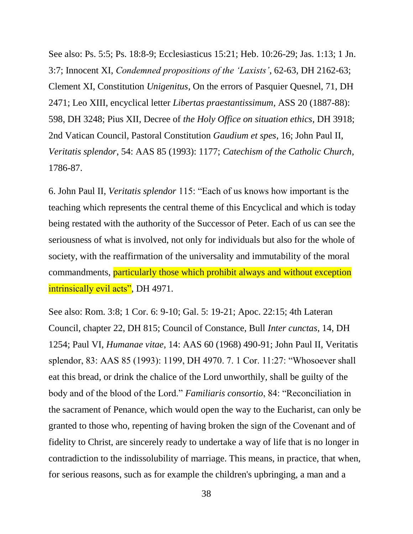See also: Ps. 5:5; Ps. 18:8-9; Ecclesiasticus 15:21; Heb. 10:26-29; Jas. 1:13; 1 Jn. 3:7; Innocent XI, *Condemned propositions of the 'Laxists'*, 62-63, DH 2162-63; Clement XI, Constitution *Unigenitus*, On the errors of Pasquier Quesnel, 71, DH 2471; Leo XIII, encyclical letter *Libertas praestantissimum*, ASS 20 (1887-88): 598, DH 3248; Pius XII, Decree of *the Holy Office on situation ethics*, DH 3918; 2nd Vatican Council, Pastoral Constitution *Gaudium et spes*, 16; John Paul II, *Veritatis splendor*, 54: AAS 85 (1993): 1177; *Catechism of the Catholic Church*, 1786-87.

6. John Paul II, *Veritatis splendor* 115: "Each of us knows how important is the teaching which represents the central theme of this Encyclical and which is today being restated with the authority of the Successor of Peter. Each of us can see the seriousness of what is involved, not only for individuals but also for the whole of society, with the reaffirmation of the universality and immutability of the moral commandments, particularly those which prohibit always and without exception intrinsically evil acts", DH 4971.

See also: Rom. 3:8; 1 Cor. 6: 9-10; Gal. 5: 19-21; Apoc. 22:15; 4th Lateran Council, chapter 22, DH 815; Council of Constance, Bull *Inter cunctas*, 14, DH 1254; Paul VI, *Humanae vitae*, 14: AAS 60 (1968) 490-91; John Paul II, Veritatis splendor, 83: AAS 85 (1993): 1199, DH 4970. 7. 1 Cor. 11:27: "Whosoever shall eat this bread, or drink the chalice of the Lord unworthily, shall be guilty of the body and of the blood of the Lord." *Familiaris consortio*, 84: "Reconciliation in the sacrament of Penance, which would open the way to the Eucharist, can only be granted to those who, repenting of having broken the sign of the Covenant and of fidelity to Christ, are sincerely ready to undertake a way of life that is no longer in contradiction to the indissolubility of marriage. This means, in practice, that when, for serious reasons, such as for example the children's upbringing, a man and a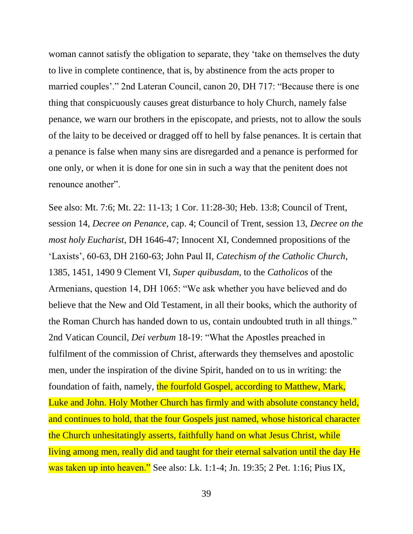woman cannot satisfy the obligation to separate, they 'take on themselves the duty to live in complete continence, that is, by abstinence from the acts proper to married couples'." 2nd Lateran Council, canon 20, DH 717: "Because there is one thing that conspicuously causes great disturbance to holy Church, namely false penance, we warn our brothers in the episcopate, and priests, not to allow the souls of the laity to be deceived or dragged off to hell by false penances. It is certain that a penance is false when many sins are disregarded and a penance is performed for one only, or when it is done for one sin in such a way that the penitent does not renounce another".

See also: Mt. 7:6; Mt. 22: 11-13; 1 Cor. 11:28-30; Heb. 13:8; Council of Trent, session 14, *Decree on Penance*, cap. 4; Council of Trent, session 13, *Decree on the most holy Eucharist*, DH 1646-47; Innocent XI, Condemned propositions of the 'Laxists', 60-63, DH 2160-63; John Paul II, *Catechism of the Catholic Church*, 1385, 1451, 1490 9 Clement VI, *Super quibusdam*, to the *Catholicos* of the Armenians, question 14, DH 1065: "We ask whether you have believed and do believe that the New and Old Testament, in all their books, which the authority of the Roman Church has handed down to us, contain undoubted truth in all things." 2nd Vatican Council, *Dei verbum* 18-19: "What the Apostles preached in fulfilment of the commission of Christ, afterwards they themselves and apostolic men, under the inspiration of the divine Spirit, handed on to us in writing: the foundation of faith, namely, the fourfold Gospel, according to Matthew, Mark, Luke and John. Holy Mother Church has firmly and with absolute constancy held, and continues to hold, that the four Gospels just named, whose historical character the Church unhesitatingly asserts, faithfully hand on what Jesus Christ, while living among men, really did and taught for their eternal salvation until the day He was taken up into heaven." See also: Lk. 1:1-4; Jn. 19:35; 2 Pet. 1:16; Pius IX,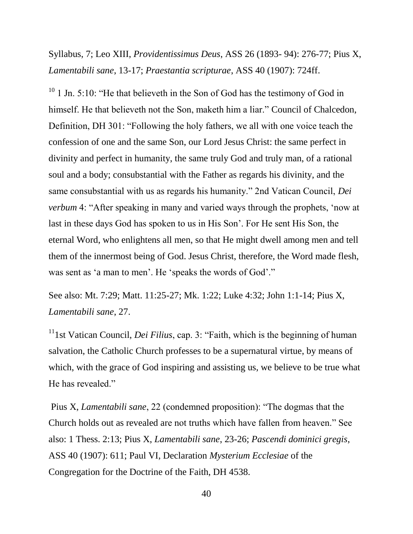Syllabus, 7; Leo XIII, *Providentissimus Deus*, ASS 26 (1893- 94): 276-77; Pius X, *Lamentabili sane*, 13-17; *Praestantia scripturae*, ASS 40 (1907): 724ff.

 $10$  1 Jn. 5:10: "He that believeth in the Son of God has the testimony of God in himself. He that believeth not the Son, maketh him a liar." Council of Chalcedon, Definition, DH 301: "Following the holy fathers, we all with one voice teach the confession of one and the same Son, our Lord Jesus Christ: the same perfect in divinity and perfect in humanity, the same truly God and truly man, of a rational soul and a body; consubstantial with the Father as regards his divinity, and the same consubstantial with us as regards his humanity." 2nd Vatican Council, *Dei verbum* 4: "After speaking in many and varied ways through the prophets, 'now at last in these days God has spoken to us in His Son'. For He sent His Son, the eternal Word, who enlightens all men, so that He might dwell among men and tell them of the innermost being of God. Jesus Christ, therefore, the Word made flesh, was sent as 'a man to men'. He 'speaks the words of God'."

See also: Mt. 7:29; Matt. 11:25-27; Mk. 1:22; Luke 4:32; John 1:1-14; Pius X, *Lamentabili sane*, 27.

 $11$ <sup>11</sup> 1st Vatican Council, *Dei Filius*, cap. 3: "Faith, which is the beginning of human salvation, the Catholic Church professes to be a supernatural virtue, by means of which, with the grace of God inspiring and assisting us, we believe to be true what He has revealed."

Pius X, *Lamentabili sane*, 22 (condemned proposition): "The dogmas that the Church holds out as revealed are not truths which have fallen from heaven." See also: 1 Thess. 2:13; Pius X, *Lamentabili sane*, 23-26; *Pascendi dominici gregis*, ASS 40 (1907): 611; Paul VI, Declaration *Mysterium Ecclesiae* of the Congregation for the Doctrine of the Faith, DH 4538.

40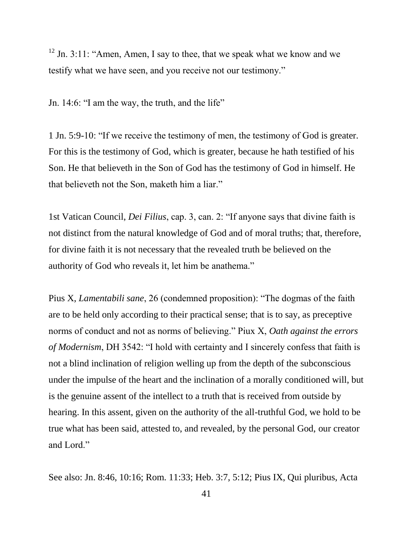$12$  Jn. 3:11: "Amen, Amen, I say to thee, that we speak what we know and we testify what we have seen, and you receive not our testimony."

Jn. 14:6: "I am the way, the truth, and the life"

1 Jn. 5:9-10: "If we receive the testimony of men, the testimony of God is greater. For this is the testimony of God, which is greater, because he hath testified of his Son. He that believeth in the Son of God has the testimony of God in himself. He that believeth not the Son, maketh him a liar."

1st Vatican Council, *Dei Filius*, cap. 3, can. 2: "If anyone says that divine faith is not distinct from the natural knowledge of God and of moral truths; that, therefore, for divine faith it is not necessary that the revealed truth be believed on the authority of God who reveals it, let him be anathema."

Pius X, *Lamentabili sane*, 26 (condemned proposition): "The dogmas of the faith are to be held only according to their practical sense; that is to say, as preceptive norms of conduct and not as norms of believing." Piux X, *Oath against the errors of Modernism*, DH 3542: "I hold with certainty and I sincerely confess that faith is not a blind inclination of religion welling up from the depth of the subconscious under the impulse of the heart and the inclination of a morally conditioned will, but is the genuine assent of the intellect to a truth that is received from outside by hearing. In this assent, given on the authority of the all-truthful God, we hold to be true what has been said, attested to, and revealed, by the personal God, our creator and Lord."

See also: Jn. 8:46, 10:16; Rom. 11:33; Heb. 3:7, 5:12; Pius IX, Qui pluribus, Acta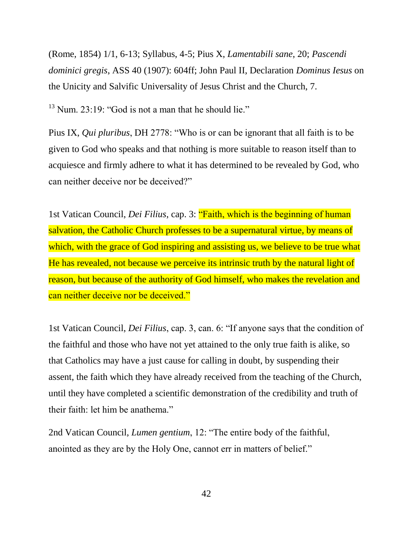(Rome, 1854) 1/1, 6-13; Syllabus, 4-5; Pius X, *Lamentabili sane*, 20; *Pascendi dominici gregis*, ASS 40 (1907): 604ff; John Paul II, Declaration *Dominus Iesus* on the Unicity and Salvific Universality of Jesus Christ and the Church, 7.

 $13$  Num. 23:19: "God is not a man that he should lie."

Pius IX, *Qui pluribus*, DH 2778: "Who is or can be ignorant that all faith is to be given to God who speaks and that nothing is more suitable to reason itself than to acquiesce and firmly adhere to what it has determined to be revealed by God, who can neither deceive nor be deceived?"

1st Vatican Council, *Dei Filius*, cap. 3: "Faith, which is the beginning of human salvation, the Catholic Church professes to be a supernatural virtue, by means of which, with the grace of God inspiring and assisting us, we believe to be true what He has revealed, not because we perceive its intrinsic truth by the natural light of reason, but because of the authority of God himself, who makes the revelation and can neither deceive nor be deceived."

1st Vatican Council, *Dei Filius*, cap. 3, can. 6: "If anyone says that the condition of the faithful and those who have not yet attained to the only true faith is alike, so that Catholics may have a just cause for calling in doubt, by suspending their assent, the faith which they have already received from the teaching of the Church, until they have completed a scientific demonstration of the credibility and truth of their faith: let him be anathema."

2nd Vatican Council, *Lumen gentium*, 12: "The entire body of the faithful, anointed as they are by the Holy One, cannot err in matters of belief."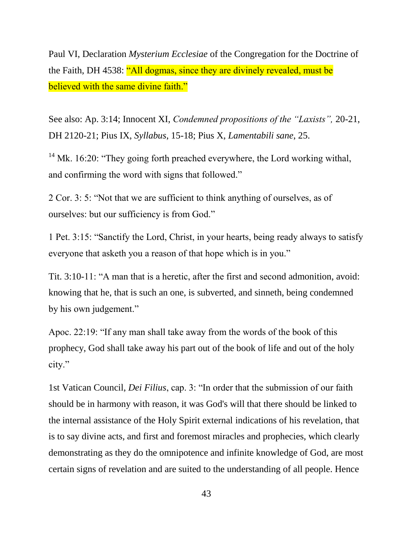Paul VI, Declaration *Mysterium Ecclesiae* of the Congregation for the Doctrine of the Faith, DH 4538: "All dogmas, since they are divinely revealed, must be believed with the same divine faith."

See also: Ap. 3:14; Innocent XI, *Condemned propositions of the "Laxists",* 20-21, DH 2120-21; Pius IX, *Syllabus*, 15-18; Pius X, *Lamentabili sane*, 25.

<sup>14</sup> Mk. 16:20: "They going forth preached everywhere, the Lord working withal, and confirming the word with signs that followed."

2 Cor. 3: 5: "Not that we are sufficient to think anything of ourselves, as of ourselves: but our sufficiency is from God."

1 Pet. 3:15: "Sanctify the Lord, Christ, in your hearts, being ready always to satisfy everyone that asketh you a reason of that hope which is in you."

Tit. 3:10-11: "A man that is a heretic, after the first and second admonition, avoid: knowing that he, that is such an one, is subverted, and sinneth, being condemned by his own judgement."

Apoc. 22:19: "If any man shall take away from the words of the book of this prophecy, God shall take away his part out of the book of life and out of the holy city."

1st Vatican Council, *Dei Filius*, cap. 3: "In order that the submission of our faith should be in harmony with reason, it was God's will that there should be linked to the internal assistance of the Holy Spirit external indications of his revelation, that is to say divine acts, and first and foremost miracles and prophecies, which clearly demonstrating as they do the omnipotence and infinite knowledge of God, are most certain signs of revelation and are suited to the understanding of all people. Hence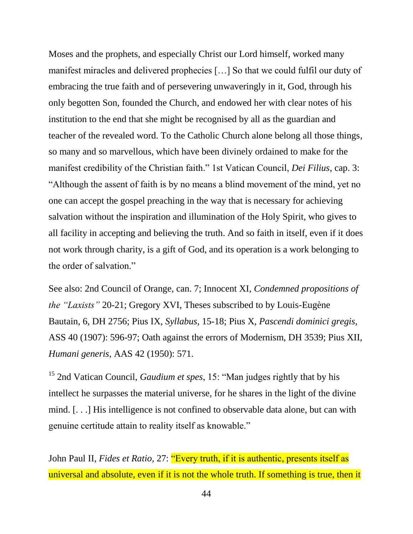Moses and the prophets, and especially Christ our Lord himself, worked many manifest miracles and delivered prophecies […] So that we could fulfil our duty of embracing the true faith and of persevering unwaveringly in it, God, through his only begotten Son, founded the Church, and endowed her with clear notes of his institution to the end that she might be recognised by all as the guardian and teacher of the revealed word. To the Catholic Church alone belong all those things, so many and so marvellous, which have been divinely ordained to make for the manifest credibility of the Christian faith." 1st Vatican Council, *Dei Filius*, cap. 3: "Although the assent of faith is by no means a blind movement of the mind, yet no one can accept the gospel preaching in the way that is necessary for achieving salvation without the inspiration and illumination of the Holy Spirit, who gives to all facility in accepting and believing the truth. And so faith in itself, even if it does not work through charity, is a gift of God, and its operation is a work belonging to the order of salvation."

See also: 2nd Council of Orange, can. 7; Innocent XI, *Condemned propositions of the "Laxists"* 20-21; Gregory XVI, Theses subscribed to by Louis-Eugène Bautain, 6, DH 2756; Pius IX, *Syllabus*, 15-18; Pius X, *Pascendi dominici gregis*, ASS 40 (1907): 596-97; Oath against the errors of Modernism, DH 3539; Pius XII, *Humani generis*, AAS 42 (1950): 571.

<sup>15</sup> 2nd Vatican Council, *Gaudium et spes*, 15: "Man judges rightly that by his intellect he surpasses the material universe, for he shares in the light of the divine mind. [. . .] His intelligence is not confined to observable data alone, but can with genuine certitude attain to reality itself as knowable."

John Paul II, *Fides et Ratio*, 27: "Every truth, if it is authentic, presents itself as universal and absolute, even if it is not the whole truth. If something is true, then it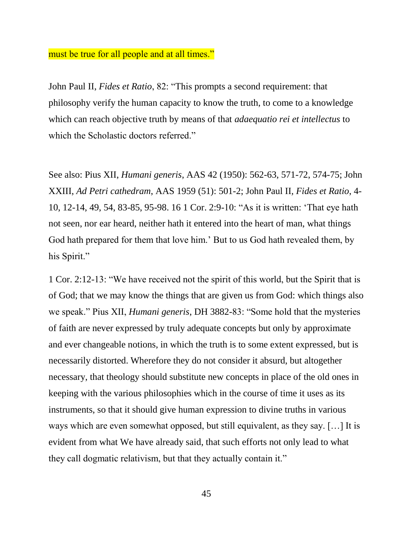#### must be true for all people and at all times."

John Paul II, *Fides et Ratio*, 82: "This prompts a second requirement: that philosophy verify the human capacity to know the truth, to come to a knowledge which can reach objective truth by means of that *adaequatio rei et intellectus* to which the Scholastic doctors referred."

See also: Pius XII, *Humani generis*, AAS 42 (1950): 562-63, 571-72, 574-75; John XXIII, *Ad Petri cathedram*, AAS 1959 (51): 501-2; John Paul II*, Fides et Ratio*, 4- 10, 12-14, 49, 54, 83-85, 95-98. 16 1 Cor. 2:9-10: "As it is written: 'That eye hath not seen, nor ear heard, neither hath it entered into the heart of man, what things God hath prepared for them that love him.' But to us God hath revealed them, by his Spirit."

1 Cor. 2:12-13: "We have received not the spirit of this world, but the Spirit that is of God; that we may know the things that are given us from God: which things also we speak." Pius XII, *Humani generis*, DH 3882-83: "Some hold that the mysteries of faith are never expressed by truly adequate concepts but only by approximate and ever changeable notions, in which the truth is to some extent expressed, but is necessarily distorted. Wherefore they do not consider it absurd, but altogether necessary, that theology should substitute new concepts in place of the old ones in keeping with the various philosophies which in the course of time it uses as its instruments, so that it should give human expression to divine truths in various ways which are even somewhat opposed, but still equivalent, as they say. […] It is evident from what We have already said, that such efforts not only lead to what they call dogmatic relativism, but that they actually contain it."

45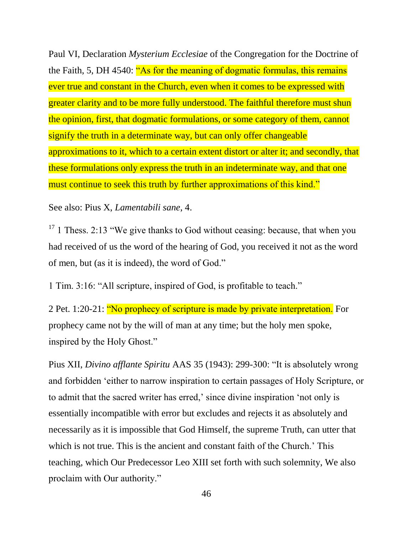Paul VI, Declaration *Mysterium Ecclesiae* of the Congregation for the Doctrine of the Faith, 5, DH 4540: "As for the meaning of dogmatic formulas, this remains ever true and constant in the Church, even when it comes to be expressed with greater clarity and to be more fully understood. The faithful therefore must shun the opinion, first, that dogmatic formulations, or some category of them, cannot signify the truth in a determinate way, but can only offer changeable approximations to it, which to a certain extent distort or alter it; and secondly, that these formulations only express the truth in an indeterminate way, and that one must continue to seek this truth by further approximations of this kind."

See also: Pius X, *Lamentabili sane*, 4.

 $17$  1 Thess. 2:13 "We give thanks to God without ceasing: because, that when you had received of us the word of the hearing of God, you received it not as the word of men, but (as it is indeed), the word of God."

1 Tim. 3:16: "All scripture, inspired of God, is profitable to teach."

2 Pet. 1:20-21: "No prophecy of scripture is made by private interpretation. For prophecy came not by the will of man at any time; but the holy men spoke, inspired by the Holy Ghost."

Pius XII, *Divino afflante Spiritu* AAS 35 (1943): 299-300: "It is absolutely wrong and forbidden 'either to narrow inspiration to certain passages of Holy Scripture, or to admit that the sacred writer has erred,' since divine inspiration 'not only is essentially incompatible with error but excludes and rejects it as absolutely and necessarily as it is impossible that God Himself, the supreme Truth, can utter that which is not true. This is the ancient and constant faith of the Church.' This teaching, which Our Predecessor Leo XIII set forth with such solemnity, We also proclaim with Our authority."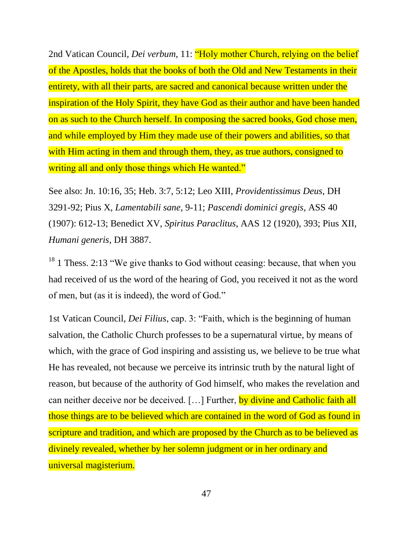2nd Vatican Council, *Dei verbum*, 11: "Holy mother Church, relying on the belief of the Apostles, holds that the books of both the Old and New Testaments in their entirety, with all their parts, are sacred and canonical because written under the inspiration of the Holy Spirit, they have God as their author and have been handed on as such to the Church herself. In composing the sacred books, God chose men, and while employed by Him they made use of their powers and abilities, so that with Him acting in them and through them, they, as true authors, consigned to writing all and only those things which He wanted."

See also: Jn. 10:16, 35; Heb. 3:7, 5:12; Leo XIII, *Providentissimus Deus*, DH 3291-92; Pius X, *Lamentabili sane*, 9-11; *Pascendi dominici gregis*, ASS 40 (1907): 612-13; Benedict XV, *Spiritus Paraclitus*, AAS 12 (1920), 393; Pius XII, *Humani generis*, DH 3887.

 $18$  1 Thess. 2:13 "We give thanks to God without ceasing: because, that when you had received of us the word of the hearing of God, you received it not as the word of men, but (as it is indeed), the word of God."

1st Vatican Council, *Dei Filius*, cap. 3: "Faith, which is the beginning of human salvation, the Catholic Church professes to be a supernatural virtue, by means of which, with the grace of God inspiring and assisting us, we believe to be true what He has revealed, not because we perceive its intrinsic truth by the natural light of reason, but because of the authority of God himself, who makes the revelation and can neither deceive nor be deceived. [...] Further, by divine and Catholic faith all those things are to be believed which are contained in the word of God as found in scripture and tradition, and which are proposed by the Church as to be believed as divinely revealed, whether by her solemn judgment or in her ordinary and universal magisterium.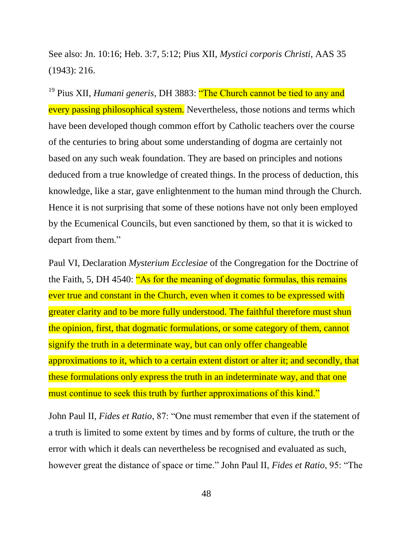See also: Jn. 10:16; Heb. 3:7, 5:12; Pius XII, *Mystici corporis Christi*, AAS 35 (1943): 216.

<sup>19</sup> Pius XII, *Humani generis*, DH 3883: "The Church cannot be tied to any and every passing philosophical system. Nevertheless, those notions and terms which have been developed though common effort by Catholic teachers over the course of the centuries to bring about some understanding of dogma are certainly not based on any such weak foundation. They are based on principles and notions deduced from a true knowledge of created things. In the process of deduction, this knowledge, like a star, gave enlightenment to the human mind through the Church. Hence it is not surprising that some of these notions have not only been employed by the Ecumenical Councils, but even sanctioned by them, so that it is wicked to depart from them."

Paul VI, Declaration *Mysterium Ecclesiae* of the Congregation for the Doctrine of the Faith, 5, DH 4540: "As for the meaning of dogmatic formulas, this remains ever true and constant in the Church, even when it comes to be expressed with greater clarity and to be more fully understood. The faithful therefore must shun the opinion, first, that dogmatic formulations, or some category of them, cannot signify the truth in a determinate way, but can only offer changeable approximations to it, which to a certain extent distort or alter it; and secondly, that these formulations only express the truth in an indeterminate way, and that one must continue to seek this truth by further approximations of this kind."

John Paul II, *Fides et Ratio*, 87: "One must remember that even if the statement of a truth is limited to some extent by times and by forms of culture, the truth or the error with which it deals can nevertheless be recognised and evaluated as such, however great the distance of space or time." John Paul II, *Fides et Ratio*, 95: "The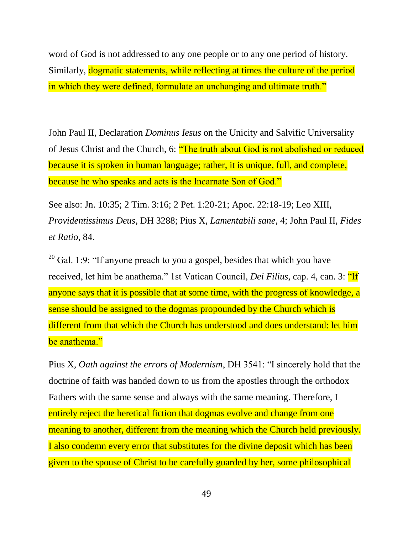word of God is not addressed to any one people or to any one period of history. Similarly, dogmatic statements, while reflecting at times the culture of the period in which they were defined, formulate an unchanging and ultimate truth."

John Paul II, Declaration *Dominus Iesus* on the Unicity and Salvific Universality of Jesus Christ and the Church, 6: "The truth about God is not abolished or reduced because it is spoken in human language; rather, it is unique, full, and complete, because he who speaks and acts is the Incarnate Son of God."

See also: Jn. 10:35; 2 Tim. 3:16; 2 Pet. 1:20-21; Apoc. 22:18-19; Leo XIII, *Providentissimus Deus*, DH 3288; Pius X, *Lamentabili sane*, 4; John Paul II, *Fides et Ratio*, 84.

 $20$  Gal. 1:9: "If anyone preach to you a gospel, besides that which you have received, let him be anathema." 1st Vatican Council, *Dei Filius*, cap. 4, can. 3: "If anyone says that it is possible that at some time, with the progress of knowledge, a sense should be assigned to the dogmas propounded by the Church which is different from that which the Church has understood and does understand: let him be anathema."

Pius X, *Oath against the errors of Modernism*, DH 3541: "I sincerely hold that the doctrine of faith was handed down to us from the apostles through the orthodox Fathers with the same sense and always with the same meaning. Therefore, I entirely reject the heretical fiction that dogmas evolve and change from one meaning to another, different from the meaning which the Church held previously. I also condemn every error that substitutes for the divine deposit which has been given to the spouse of Christ to be carefully guarded by her, some philosophical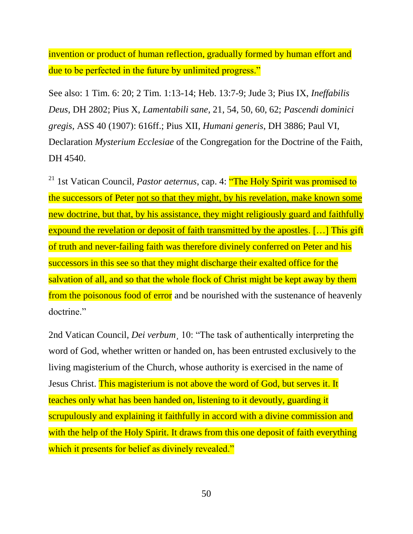invention or product of human reflection, gradually formed by human effort and due to be perfected in the future by unlimited progress."

See also: 1 Tim. 6: 20; 2 Tim. 1:13-14; Heb. 13:7-9; Jude 3; Pius IX, *Ineffabilis Deus*, DH 2802; Pius X, *Lamentabili sane*, 21, 54, 50, 60, 62; *Pascendi dominici gregis*, ASS 40 (1907): 616ff.; Pius XII, *Humani generis*, DH 3886; Paul VI, Declaration *Mysterium Ecclesiae* of the Congregation for the Doctrine of the Faith, DH 4540.

<sup>21</sup> 1st Vatican Council, *Pastor aeternus*, cap. 4: "The Holy Spirit was promised to the successors of Peter not so that they might, by his revelation, make known some new doctrine, but that, by his assistance, they might religiously guard and faithfully expound the revelation or deposit of faith transmitted by the apostles. […] This gift of truth and never-failing faith was therefore divinely conferred on Peter and his successors in this see so that they might discharge their exalted office for the salvation of all, and so that the whole flock of Christ might be kept away by them from the poisonous food of error and be nourished with the sustenance of heavenly doctrine."

2nd Vatican Council, *Dei verbum*¸ 10: "The task of authentically interpreting the word of God, whether written or handed on, has been entrusted exclusively to the living magisterium of the Church, whose authority is exercised in the name of Jesus Christ. This magisterium is not above the word of God, but serves it. It teaches only what has been handed on, listening to it devoutly, guarding it scrupulously and explaining it faithfully in accord with a divine commission and with the help of the Holy Spirit. It draws from this one deposit of faith everything which it presents for belief as divinely revealed."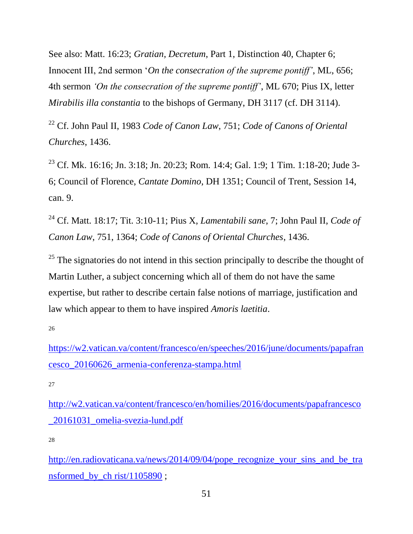See also: Matt. 16:23; *Gratian, Decretum*, Part 1, Distinction 40, Chapter 6; Innocent III, 2nd sermon '*On the consecration of the supreme pontiff'*, ML, 656; 4th sermon *'On the consecration of the supreme pontiff'*, ML 670; Pius IX, letter *Mirabilis illa constantia* to the bishops of Germany, DH 3117 (cf. DH 3114).

<sup>22</sup> Cf. John Paul II, 1983 *Code of Canon Law*, 751; *Code of Canons of Oriental Churches*, 1436.

<sup>23</sup> Cf. Mk. 16:16; Jn. 3:18; Jn. 20:23; Rom. 14:4; Gal. 1:9; 1 Tim. 1:18-20; Jude 3-6; Council of Florence, *Cantate Domino*, DH 1351; Council of Trent, Session 14, can. 9.

<sup>24</sup> Cf. Matt. 18:17; Tit. 3:10-11; Pius X, *Lamentabili sane*, 7; John Paul II, *Code of Canon Law*, 751, 1364; *Code of Canons of Oriental Churches*, 1436.

 $25$  The signatories do not intend in this section principally to describe the thought of Martin Luther, a subject concerning which all of them do not have the same expertise, but rather to describe certain false notions of marriage, justification and law which appear to them to have inspired *Amoris laetitia*.

26

[https://w2.vatican.va/content/francesco/en/speeches/2016/june/documents/papafran](https://w2.vatican.va/content/francesco/en/speeches/2016/june/documents/papafrancesco_20160626_armenia-conferenza-stampa.html) [cesco\\_20160626\\_armenia-conferenza-stampa.html](https://w2.vatican.va/content/francesco/en/speeches/2016/june/documents/papafrancesco_20160626_armenia-conferenza-stampa.html)

27

[http://w2.vatican.va/content/francesco/en/homilies/2016/documents/papafrancesco](http://w2.vatican.va/content/francesco/en/homilies/2016/documents/papafrancesco_20161031_omelia-svezia-lund.pdf) [\\_20161031\\_omelia-svezia-lund.pdf](http://w2.vatican.va/content/francesco/en/homilies/2016/documents/papafrancesco_20161031_omelia-svezia-lund.pdf)

28

[http://en.radiovaticana.va/news/2014/09/04/pope\\_recognize\\_your\\_sins\\_and\\_be\\_tra](http://en.radiovaticana.va/news/2014/09/04/pope_recognize_your_sins_and_be_transformed_by_ch%20rist/1105890) [nsformed\\_by\\_ch rist/1105890](http://en.radiovaticana.va/news/2014/09/04/pope_recognize_your_sins_and_be_transformed_by_ch%20rist/1105890) ;

51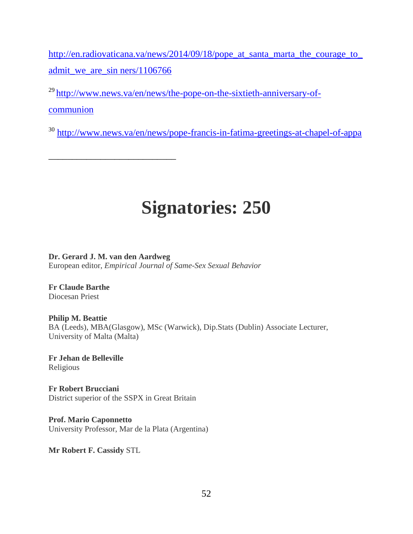[http://en.radiovaticana.va/news/2014/09/18/pope\\_at\\_santa\\_marta\\_the\\_courage\\_to\\_](http://en.radiovaticana.va/news/2014/09/18/pope_at_santa_marta_the_courage_to_admit_we_are_sin%20ners/1106766) [admit\\_we\\_are\\_sin ners/1106766](http://en.radiovaticana.va/news/2014/09/18/pope_at_santa_marta_the_courage_to_admit_we_are_sin%20ners/1106766)

<sup>29</sup>http://www<u>.news.va/en/news/the-pope-on-the-sixtieth-anniversary-of-</u> [communion](http://www.news.va/en/news/the-pope-on-the-sixtieth-anniversary-of-communion)

<sup>30</sup> <http://www.news.va/en/news/pope-francis-in-fatima-greetings-at-chapel-of-appa>

# **Signatories: 250**

**Dr. Gerard J. M. van den Aardweg** European editor, *Empirical Journal of Same-Sex Sexual Behavior*

**Fr Claude Barthe** Diocesan Priest

**Philip M. Beattie** BA (Leeds), MBA(Glasgow), MSc (Warwick), Dip.Stats (Dublin) Associate Lecturer, University of Malta (Malta)

**Fr Jehan de Belleville** Religious

**Fr Robert Brucciani** District superior of the SSPX in Great Britain

\_\_\_\_\_\_\_\_\_\_\_\_\_\_\_\_\_\_\_\_\_\_\_\_\_\_\_

**Prof. Mario Caponnetto** University Professor, Mar de la Plata (Argentina)

**Mr Robert F. Cassidy** STL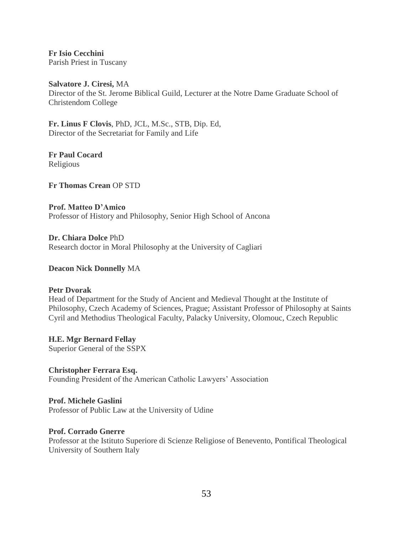**Fr Isio Cecchini** Parish Priest in Tuscany

**Salvatore J. Ciresi,** MA Director of the St. Jerome Biblical Guild, Lecturer at the Notre Dame Graduate School of Christendom College

**Fr. Linus F Clovis**, PhD, JCL, M.Sc., STB, Dip. Ed, Director of the Secretariat for Family and Life

**Fr Paul Cocard** Religious

**Fr Thomas Crean** OP STD

**Prof. Matteo D'Amico** Professor of History and Philosophy, Senior High School of Ancona

**Dr. Chiara Dolce** PhD Research doctor in Moral Philosophy at the University of Cagliari

#### **Deacon Nick Donnelly** MA

#### **Petr Dvorak**

Head of Department for the Study of Ancient and Medieval Thought at the Institute of Philosophy, Czech Academy of Sciences, Prague; Assistant Professor of Philosophy at Saints Cyril and Methodius Theological Faculty, Palacky University, Olomouc, Czech Republic

**H.E. Mgr Bernard Fellay** Superior General of the SSPX

**Christopher Ferrara Esq.** Founding President of the American Catholic Lawyers' Association

**Prof. Michele Gaslini** Professor of Public Law at the University of Udine

#### **Prof. Corrado Gnerre**

Professor at the Istituto Superiore di Scienze Religiose of Benevento, Pontifical Theological University of Southern Italy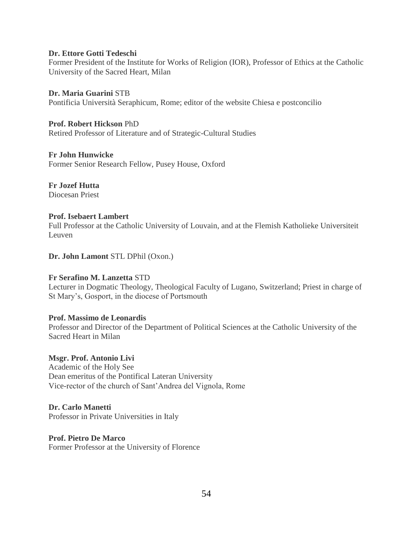#### **Dr. Ettore Gotti Tedeschi**

Former President of the Institute for Works of Religion (IOR), Professor of Ethics at the Catholic University of the Sacred Heart, Milan

**Dr. Maria Guarini** STB Pontificia Università Seraphicum, Rome; editor of the website Chiesa e postconcilio

**Prof. Robert Hickson** PhD Retired Professor of Literature and of Strategic-Cultural Studies

#### **Fr John Hunwicke**

Former Senior Research Fellow, Pusey House, Oxford

#### **Fr Jozef Hutta**

Diocesan Priest

#### **Prof. Isebaert Lambert**

Full Professor at the Catholic University of Louvain, and at the Flemish Katholieke Universiteit Leuven

#### **Dr. John Lamont** STL DPhil (Oxon.)

#### **Fr Serafino M. Lanzetta** STD

Lecturer in Dogmatic Theology, Theological Faculty of Lugano, Switzerland; Priest in charge of St Mary's, Gosport, in the diocese of Portsmouth

#### **Prof. Massimo de Leonardis**

Professor and Director of the Department of Political Sciences at the Catholic University of the Sacred Heart in Milan

#### **Msgr. Prof. Antonio Livi**

Academic of the Holy See Dean emeritus of the Pontifical Lateran University Vice-rector of the church of Sant'Andrea del Vignola, Rome

#### **Dr. Carlo Manetti**

Professor in Private Universities in Italy

#### **Prof. Pietro De Marco**

Former Professor at the University of Florence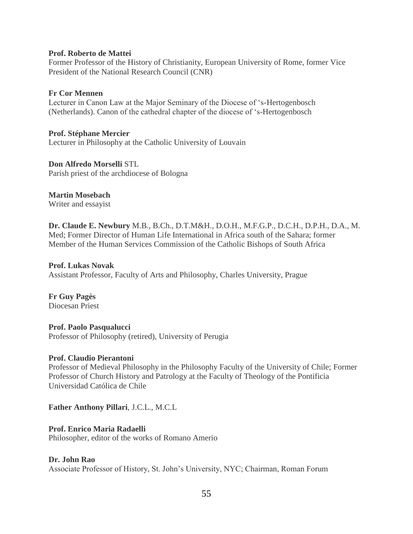#### **Prof. Roberto de Mattei**

Former Professor of the History of Christianity, European University of Rome, former Vice President of the National Research Council (CNR)

#### **Fr Cor Mennen**

Lecturer in Canon Law at the Major Seminary of the Diocese of 's-Hertogenbosch (Netherlands). Canon of the cathedral chapter of the diocese of 's-Hertogenbosch

**Prof. Stéphane Mercier**

Lecturer in Philosophy at the Catholic University of Louvain

#### **Don Alfredo Morselli** STL

Parish priest of the archdiocese of Bologna

#### **Martin Mosebach**

Writer and essayist

**Dr. Claude E. Newbury** M.B., B.Ch., D.T.M&H., D.O.H., M.F.G.P., D.C.H., D.P.H., D.A., M. Med; Former Director of Human Life International in Africa south of the Sahara; former Member of the Human Services Commission of the Catholic Bishops of South Africa

#### **Prof. Lukas Novak**

Assistant Professor, Faculty of Arts and Philosophy, Charles University, Prague

**Fr Guy Pagès** Diocesan Priest

**Prof. Paolo Pasqualucci** Professor of Philosophy (retired), University of Perugia

#### **Prof. Claudio Pierantoni**

Professor of Medieval Philosophy in the Philosophy Faculty of the University of Chile; Former Professor of Church History and Patrology at the Faculty of Theology of the Pontificia Universidad Católica de Chile

#### **Father Anthony Pillari**, J.C.L., M.C.L

#### **Prof. Enrico Maria Radaelli**

Philosopher, editor of the works of Romano Amerio

#### **Dr. John Rao**

Associate Professor of History, St. John's University, NYC; Chairman, Roman Forum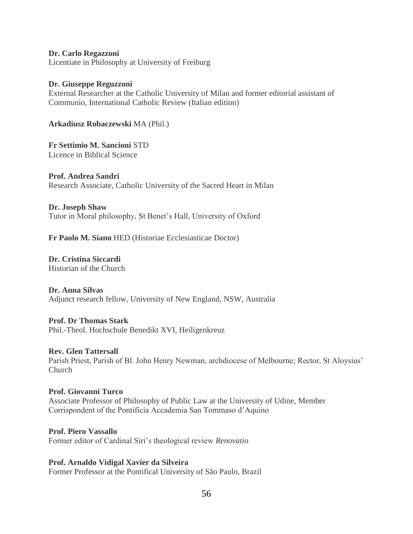**Dr. Carlo Regazzoni** Licentiate in Philosophy at University of Freiburg

#### **Dr. Giuseppe Reguzzoni**

External Researcher at the Catholic University of Milan and former editorial assistant of Communio, International Catholic Review (Italian edition)

**Arkadiusz Robaczewski** MA (Phil.)

**Fr Settimio M. Sancioni** STD Licence in Biblical Science

**Prof. Andrea Sandri** Research Associate, Catholic University of the Sacred Heart in Milan

**Dr. Joseph Shaw** Tutor in Moral philosophy, St Benet's Hall, University of Oxford

**Fr Paolo M. Siano** HED (Historiae Ecclesiasticae Doctor)

**Dr. Cristina Siccardi** Historian of the Church

#### **Dr. Anna Silvas**

Adjunct research fellow, University of New England, NSW, Australia

#### **Prof. Dr Thomas Stark**

Phil.-Theol. Hochschule Benedikt XVI, Heiligenkreuz

#### **Rev. Glen Tattersall**

Parish Priest, Parish of Bl. John Henry Newman, archdiocese of Melbourne; Rector, St Aloysius' Church

#### **Prof. Giovanni Turco**

Associate Professor of Philosophy of Public Law at the University of Udine, Member Corrispondent of the Pontificia Accademia San Tommaso d'Aquino

**Prof. Piero Vassallo** Former editor of Cardinal Siri's theological review *Renovatio*

**Prof. Arnaldo Vidigal Xavier da Silveira**

Former Professor at the Pontifical University of São Paulo, Brazil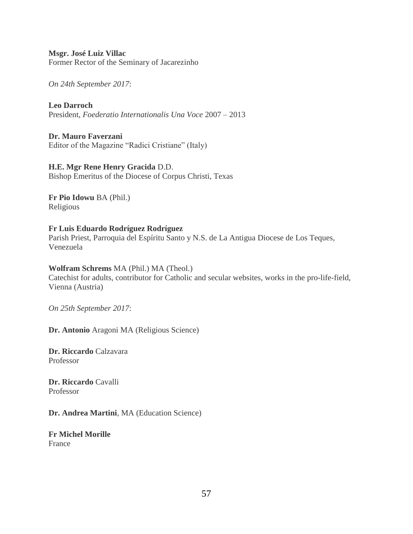**Msgr. José Luiz Villac** Former Rector of the Seminary of Jacarezinho

*On 24th September 2017*:

**Leo Darroch** President, *Foederatio Internationalis Una Voce* 2007 – 2013

**Dr. Mauro Faverzani** Editor of the Magazine "Radici Cristiane" (Italy)

**H.E. Mgr Rene Henry Gracida** D.D. Bishop Emeritus of the Diocese of Corpus Christi, Texas

**Fr Pio Idowu** BA (Phil.) Religious

#### **Fr Luis Eduardo Rodríguez Rodríguez** Parish Priest, Parroquia del Espíritu Santo y N.S. de La Antigua Diocese de Los Teques, Venezuela

#### **Wolfram Schrems** MA (Phil.) MA (Theol.)

Catechist for adults, contributor for Catholic and secular websites, works in the pro-life-field, Vienna (Austria)

*On 25th September 2017*:

**Dr. Antonio** Aragoni MA (Religious Science)

**Dr. Riccardo** Calzavara Professor

**Dr. Riccardo** Cavalli Professor

**Dr. Andrea Martini**, MA (Education Science)

**Fr Michel Morille** France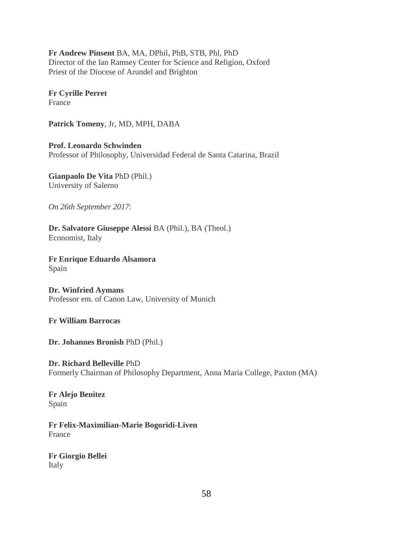**Fr Andrew Pinsent** BA, MA, DPhil, PhB, STB, Phl, PhD Director of the Ian Ramsey Center for Science and Religion, Oxford Priest of the Diocese of Arundel and Brighton

**Fr Cyrille Perret** France

**Patrick Tomeny**, Jr, MD, MPH, DABA

**Prof. Leonardo Schwinden** Professor of Philosophy, Universidad Federal de Santa Catarina, Brazil

**Gianpaolo De Vita** PhD (Phil.) University of Salerno

*On 26th September 2017*:

**Dr. Salvatore Giuseppe Alessi** BA (Phil.), BA (Theol.) Economist, Italy

**Fr Enrique Eduardo Alsamora** Spain

**Dr. Winfried Aymans** Professor em. of Canon Law, University of Munich

**Fr William Barrocas**

**Dr. Johannes Bronish** PhD (Phil.)

**Dr. Richard Belleville** PhD Formerly Chairman of Philosophy Department, Anna Maria College, Paxton (MA)

**Fr Alejo Benitez** Spain

**Fr Felix-Maximilian-Marie Bogoridi-Liven** France

**Fr Giorgio Bellei** Italy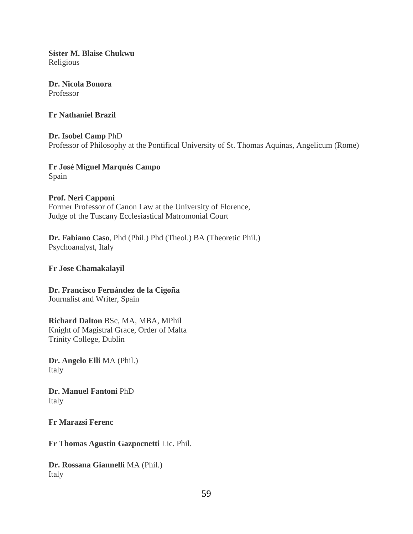**Sister M. Blaise Chukwu** Religious

**Dr. Nicola Bonora** Professor

**Fr Nathaniel Brazil**

**Dr. Isobel Camp** PhD Professor of Philosophy at the Pontifical University of St. Thomas Aquinas, Angelicum (Rome)

**Fr José Miguel Marqués Campo** Spain

**Prof. Neri Capponi** Former Professor of Canon Law at the University of Florence, Judge of the Tuscany Ecclesiastical Matromonial Court

**Dr. Fabiano Caso**, Phd (Phil.) Phd (Theol.) BA (Theoretic Phil.) Psychoanalyst, Italy

#### **Fr Jose Chamakalayil**

**Dr. Francisco Fernández de la Cigoña** Journalist and Writer, Spain

**Richard Dalton** BSc, MA, MBA, MPhil

Knight of Magistral Grace, Order of Malta Trinity College, Dublin

**Dr. Angelo Elli** MA (Phil.) Italy

**Dr. Manuel Fantoni** PhD Italy

**Fr Marazsi Ferenc**

**Fr Thomas Agustin Gazpocnetti** Lic. Phil.

**Dr. Rossana Giannelli** MA (Phil.) Italy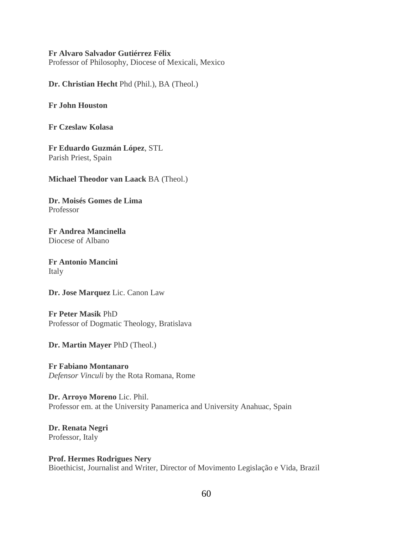#### **Fr Alvaro Salvador Gutiérrez Félix**

Professor of Philosophy, Diocese of Mexicali, Mexico

**Dr. Christian Hecht** Phd (Phil.), BA (Theol.)

**Fr John Houston**

**Fr Czeslaw Kolasa**

**Fr Eduardo Guzmán López**, STL Parish Priest, Spain

**Michael Theodor van Laack** BA (Theol.)

**Dr. Moisés Gomes de Lima** Professor

**Fr Andrea Mancinella** Diocese of Albano

**Fr Antonio Mancini** Italy

**Dr. Jose Marquez** Lic. Canon Law

**Fr Peter Masik** PhD Professor of Dogmatic Theology, Bratislava

**Dr. Martin Mayer** PhD (Theol.)

**Fr Fabiano Montanaro** *Defensor Vinculi* by the Rota Romana, Rome

**Dr. Arroyo Moreno** Lic. Phil. Professor em. at the University Panamerica and University Anahuac, Spain

**Dr. Renata Negri** Professor, Italy

**Prof. Hermes Rodrigues Nery** Bioethicist, Journalist and Writer, Director of Movimento Legislação e Vida, Brazil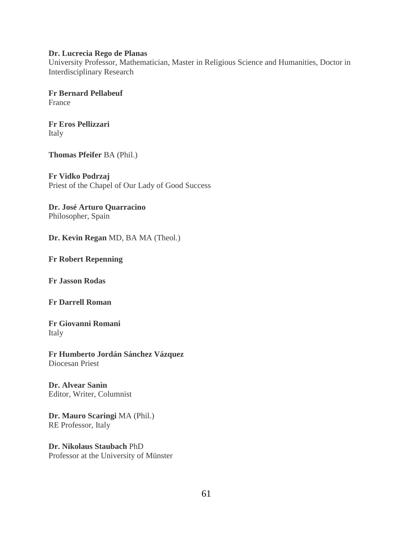#### **Dr. Lucrecia Rego de Planas**

University Professor, Mathematician, Master in Religious Science and Humanities, Doctor in Interdisciplinary Research

**Fr Bernard Pellabeuf** France

**Fr Eros Pellizzari** Italy

**Thomas Pfeifer** BA (Phil.)

**Fr Vidko Podrzaj** Priest of the Chapel of Our Lady of Good Success

**Dr. José Arturo Quarracino** Philosopher, Spain

**Dr. Kevin Regan** MD, BA MA (Theol.)

**Fr Robert Repenning**

**Fr Jasson Rodas**

**Fr Darrell Roman**

**Fr Giovanni Romani** Italy

**Fr Humberto Jordán Sánchez Vázquez** Diocesan Priest

**Dr. Alvear Sanìn** Editor, Writer, Columnist

**Dr. Mauro Scaringi** MA (Phil.) RE Professor, Italy

**Dr. Nikolaus Staubach** PhD Professor at the University of Münster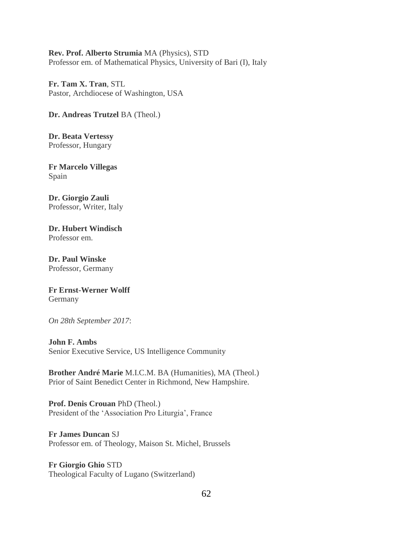#### **Rev. Prof. Alberto Strumia** MA (Physics), STD Professor em. of Mathematical Physics, University of Bari (I), Italy

**Fr. Tam X. Tran**, STL Pastor, Archdiocese of Washington, USA

**Dr. Andreas Trutzel** BA (Theol.)

**Dr. Beata Vertessy** Professor, Hungary

**Fr Marcelo Villegas** Spain

**Dr. Giorgio Zauli** Professor, Writer, Italy

**Dr. Hubert Windisch** Professor em.

**Dr. Paul Winske** Professor, Germany

#### **Fr Ernst-Werner Wolff** Germany

*On 28th September 2017*:

**John F. Ambs**

Senior Executive Service, US Intelligence Community

**Brother André Marie** M.I.C.M. BA (Humanities), MA (Theol.) Prior of Saint Benedict Center in Richmond, New Hampshire.

**Prof. Denis Crouan** PhD (Theol.) President of the 'Association Pro Liturgia', France

### **Fr James Duncan** SJ

Professor em. of Theology, Maison St. Michel, Brussels

**Fr Giorgio Ghio** STD Theological Faculty of Lugano (Switzerland)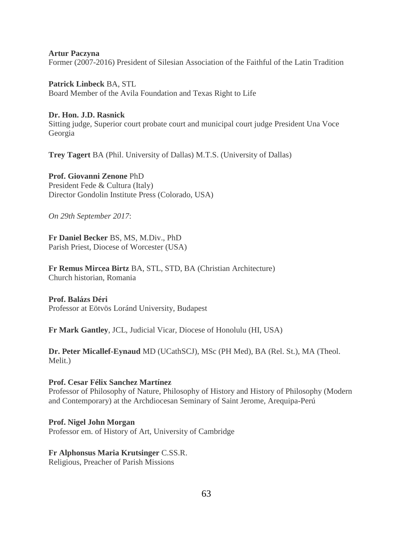**Artur Paczyna** Former (2007-2016) President of Silesian Association of the Faithful of the Latin Tradition

**Patrick Linbeck** BA, STL Board Member of the Avila Foundation and Texas Right to Life

#### **Dr. Hon. J.D. Rasnick**

Sitting judge, Superior court probate court and municipal court judge President Una Voce Georgia

**Trey Tagert** BA (Phil. University of Dallas) M.T.S. (University of Dallas)

**Prof. Giovanni Zenone** PhD President Fede & Cultura (Italy)

Director Gondolin Institute Press (Colorado, USA)

*On 29th September 2017*:

**Fr Daniel Becker** BS, MS, M.Div., PhD Parish Priest, Diocese of Worcester (USA)

**Fr Remus Mircea Birtz** BA, STL, STD, BA (Christian Architecture) Church historian, Romania

**Prof. Balázs Déri** Professor at Eötvös Loránd University, Budapest

**Fr Mark Gantley**, JCL, Judicial Vicar, Diocese of Honolulu (HI, USA)

**Dr. Peter Micallef-Eynaud** MD (UCathSCJ), MSc (PH Med), BA (Rel. St.), MA (Theol. Melit.)

#### **Prof. Cesar Félix Sanchez Martínez**

Professor of Philosophy of Nature, Philosophy of History and History of Philosophy (Modern and Contemporary) at the Archdiocesan Seminary of Saint Jerome, Arequipa-Perú

**Prof. Nigel John Morgan** Professor em. of History of Art, University of Cambridge

#### **Fr Alphonsus Maria Krutsinger** C.SS.R.

Religious, Preacher of Parish Missions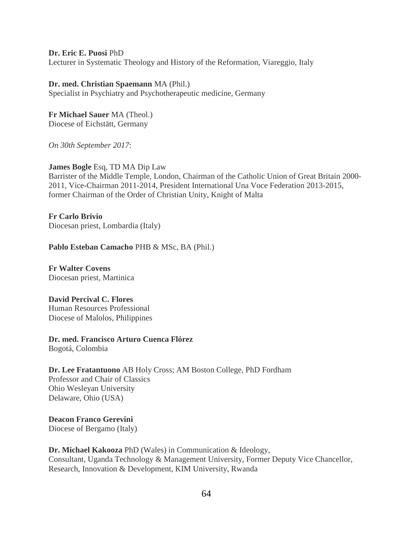**Dr. Eric E. Puosi** PhD

Lecturer in Systematic Theology and History of the Reformation, Viareggio, Italy

**Dr. med. Christian Spaemann** MA (Phil.) Specialist in Psychiatry and Psychotherapeutic medicine, Germany

**Fr Michael Sauer** MA (Theol.) Diocese of Eichstätt, Germany

*On 30th September 2017*:

**James Bogle** Esq, TD MA Dip Law Barrister of the Middle Temple, London, Chairman of the Catholic Union of Great Britain 2000- 2011, Vice-Chairman 2011-2014, President International Una Voce Federation 2013-2015, former Chairman of the Order of Christian Unity, Knight of Malta

**Fr Carlo Brivio** Diocesan priest, Lombardia (Italy)

**Pablo Esteban Camacho** PHB & MSc, BA (Phil.)

**Fr Walter Covens** Diocesan priest, Martinica

**David Percival C. Flores** Human Resources Professional Diocese of Malolos, Philippines

**Dr. med. Francisco Arturo Cuenca Flórez** Bogotá, Colombia

**Dr. Lee Fratantuono** AB Holy Cross; AM Boston College, PhD Fordham Professor and Chair of Classics Ohio Wesleyan University Delaware, Ohio (USA)

**Deacon Franco Gerevini** Diocese of Bergamo (Italy)

**Dr. Michael Kakooza** PhD (Wales) in Communication & Ideology, Consultant, Uganda Technology & Management University, Former Deputy Vice Chancellor, Research, Innovation & Development, KIM University, Rwanda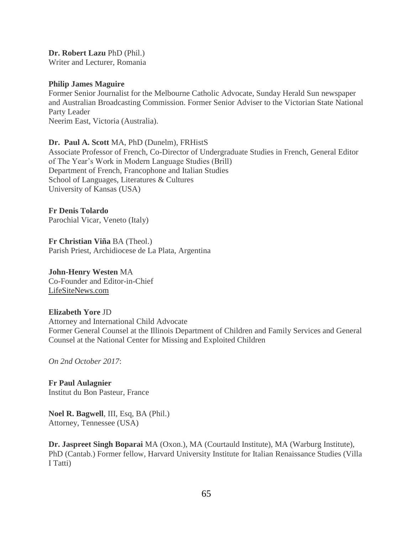**Dr. Robert Lazu** PhD (Phil.) Writer and Lecturer, Romania

#### **Philip James Maguire**

Former Senior Journalist for the Melbourne Catholic Advocate, Sunday Herald Sun newspaper and Australian Broadcasting Commission. Former Senior Adviser to the Victorian State National Party Leader Neerim East, Victoria (Australia).

#### **Dr. Paul A. Scott** MA, PhD (Dunelm), FRHistS

Associate Professor of French, Co-Director of Undergraduate Studies in French, General Editor of The Year's Work in Modern Language Studies (Brill) Department of French, Francophone and Italian Studies School of Languages, Literatures & Cultures University of Kansas (USA)

#### **Fr Denis Tolardo**

Parochial Vicar, Veneto (Italy)

**Fr Christian Viña** BA (Theol.) Parish Priest, Archidiocese de La Plata, Argentina

#### **John-Henry Westen** MA Co-Founder and Editor-in-Chief

[LifeSiteNews.com](http://lifesitenews.com/)

#### **Elizabeth Yore** JD

Attorney and International Child Advocate Former General Counsel at the Illinois Department of Children and Family Services and General Counsel at the National Center for Missing and Exploited Children

*On 2nd October 2017*:

**Fr Paul Aulagnier** Institut du Bon Pasteur, France

**Noel R. Bagwell**, III, Esq, BA (Phil.) Attorney, Tennessee (USA)

**Dr. Jaspreet Singh Boparai** MA (Oxon.), MA (Courtauld Institute), MA (Warburg Institute), PhD (Cantab.) Former fellow, Harvard University Institute for Italian Renaissance Studies (Villa I Tatti)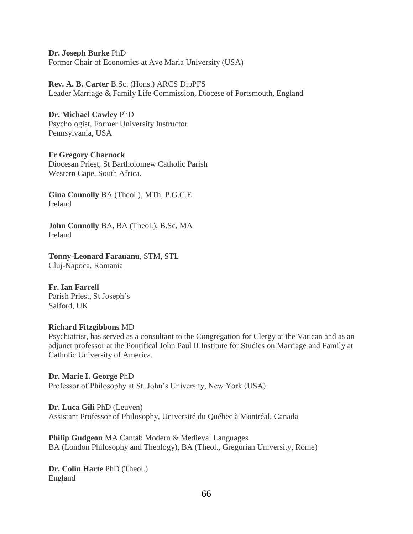**Dr. Joseph Burke** PhD Former Chair of Economics at Ave Maria University (USA)

**Rev. A. B. Carter** B.Sc. (Hons.) ARCS DipPFS Leader Marriage & Family Life Commission, Diocese of Portsmouth, England

**Dr. Michael Cawley** PhD Psychologist, Former University Instructor Pennsylvania, USA

**Fr Gregory Charnock** Diocesan Priest, St Bartholomew Catholic Parish Western Cape, South Africa.

**Gina Connolly** BA (Theol.), MTh, P.G.C.E Ireland

**John Connolly** BA, BA (Theol.), B.Sc, MA Ireland

**Tonny-Leonard Farauanu**, STM, STL Cluj-Napoca, Romania

**Fr. Ian Farrell** Parish Priest, St Joseph's Salford, UK

#### **Richard Fitzgibbons** MD

Psychiatrist, has served as a consultant to the Congregation for Clergy at the Vatican and as an adjunct professor at the Pontifical John Paul II Institute for Studies on Marriage and Family at Catholic University of America.

**Dr. Marie I. George** PhD Professor of Philosophy at St. John's University, New York (USA)

**Dr. Luca Gili** PhD (Leuven) Assistant Professor of Philosophy, Université du Québec à Montréal, Canada

**Philip Gudgeon** MA Cantab Modern & Medieval Languages BA (London Philosophy and Theology), BA (Theol., Gregorian University, Rome)

**Dr. Colin Harte** PhD (Theol.) England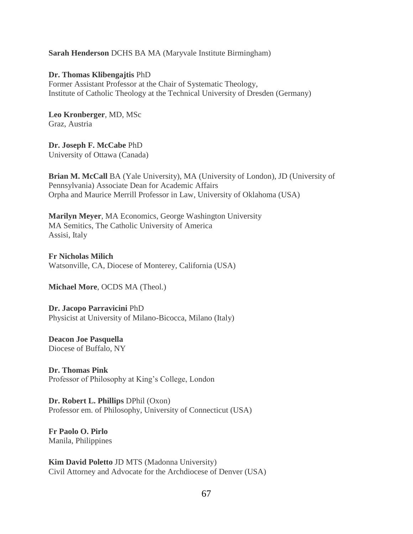#### **Sarah Henderson** DCHS BA MA (Maryvale Institute Birmingham)

**Dr. Thomas Klibengajtis** PhD Former Assistant Professor at the Chair of Systematic Theology, Institute of Catholic Theology at the Technical University of Dresden (Germany)

**Leo Kronberger**, MD, MSc Graz, Austria

**Dr. Joseph F. McCabe** PhD University of Ottawa (Canada)

**Brian M. McCall** BA (Yale University), MA (University of London), JD (University of Pennsylvania) Associate Dean for Academic Affairs Orpha and Maurice Merrill Professor in Law, University of Oklahoma (USA)

**Marilyn Meyer**, MA Economics, George Washington University MA Semitics, The Catholic University of America Assisi, Italy

**Fr Nicholas Milich** Watsonville, CA, Diocese of Monterey, California (USA)

**Michael More**, OCDS MA (Theol.)

**Dr. Jacopo Parravicini** PhD Physicist at University of Milano-Bicocca, Milano (Italy)

**Deacon Joe Pasquella** Diocese of Buffalo, NY

**Dr. Thomas Pink** Professor of Philosophy at King's College, London

**Dr. Robert L. Phillips** DPhil (Oxon) Professor em. of Philosophy, University of Connecticut (USA)

**Fr Paolo O. Pirlo** Manila, Philippines

**Kim David Poletto** JD MTS (Madonna University) Civil Attorney and Advocate for the Archdiocese of Denver (USA)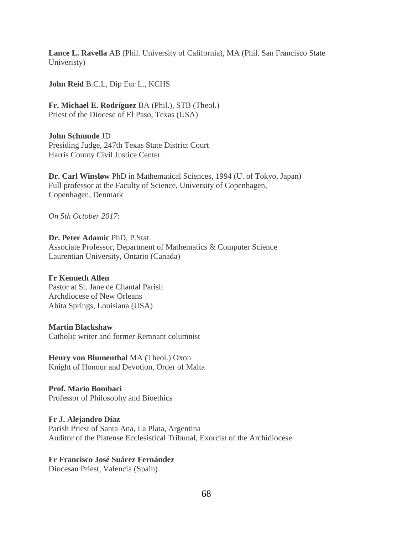**Lance L. Ravella** AB (Phil. University of California), MA (Phil. San Francisco State Univeristy)

**John Reid** B.C.L, Dip Eur L., KCHS

**Fr. Michael E. Rodríguez** BA (Phil.), STB (Theol.) Priest of the Diocese of El Paso, Texas (USA)

**John Schmude** JD Presiding Judge, 247th Texas State District Court Harris County Civil Justice Center

**Dr. Carl Winsløw** PhD in Mathematical Sciences, 1994 (U. of Tokyo, Japan) Full professor at the Faculty of Science, University of Copenhagen, Copenhagen, Denmark

*On 5th October 2017*:

**Dr. Peter Adamic** PhD, P.Stat. Associate Professor, Department of Mathematics & Computer Science Laurentian University, Ontario (Canada)

**Fr Kenneth Allen** Pastor at St. Jane de Chantal Parish Archdiocese of New Orleans Abita Springs, Louisiana (USA)

#### **Martin Blackshaw**

Catholic writer and former Remnant columnist

**Henry von Blumenthal** MA (Theol.) Oxon Knight of Honour and Devotion, Order of Malta

**Prof. Mario Bombaci** Professor of Philosophy and Bioethics

**Fr J. Alejandro Díaz** Parish Priest of Santa Ana, La Plata, Argentina Auditor of the Platense Ecclesistical Tribunal, Exorcist of the Archidiocese

#### **Fr Francisco José Suárez Fernández**

Diocesan Priest, Valencia (Spain)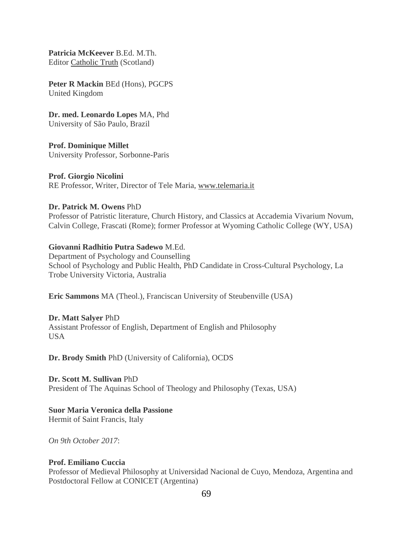**Patricia McKeever** B.Ed. M.Th. Editor [Catholic Truth](http://www.catholictruthscotland.com/) (Scotland)

**Peter R Mackin** BEd (Hons), PGCPS United Kingdom

**Dr. med. Leonardo Lopes** MA, Phd University of São Paulo, Brazil

**Prof. Dominique Millet** University Professor, Sorbonne-Paris

**Prof. Giorgio Nicolini** RE Professor, Writer, Director of Tele Maria, [www.telemaria.it](http://www.telemaria.it/)

#### **Dr. Patrick M. Owens** PhD

Professor of Patristic literature, Church History, and Classics at Accademia Vivarium Novum, Calvin College, Frascati (Rome); former Professor at Wyoming Catholic College (WY, USA)

#### **Giovanni Radhitio Putra Sadewo** M.Ed.

Department of Psychology and Counselling School of Psychology and Public Health, PhD Candidate in Cross-Cultural Psychology, La Trobe University Victoria, Australia

**Eric Sammons** MA (Theol.), Franciscan University of Steubenville (USA)

#### **Dr. Matt Salyer** PhD

Assistant Professor of English, Department of English and Philosophy USA

**Dr. Brody Smith** PhD (University of California), OCDS

**Dr. Scott M. Sullivan** PhD President of The Aquinas School of Theology and Philosophy (Texas, USA)

### **Suor Maria Veronica della Passione**

Hermit of Saint Francis, Italy

*On 9th October 2017*:

#### **Prof. Emiliano Cuccia**

Professor of Medieval Philosophy at Universidad Nacional de Cuyo, Mendoza, Argentina and Postdoctoral Fellow at CONICET (Argentina)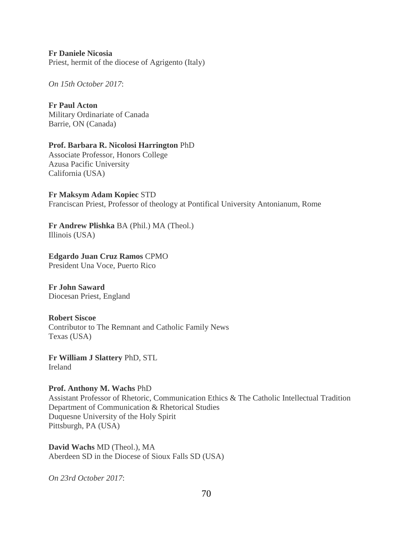**Fr Daniele Nicosia** Priest, hermit of the diocese of Agrigento (Italy)

*On 15th October 2017*:

**Fr Paul Acton** Military Ordinariate of Canada Barrie, ON (Canada)

**Prof. Barbara R. Nicolosi Harrington** PhD Associate Professor, Honors College Azusa Pacific University California (USA)

**Fr Maksym Adam Kopiec** STD Franciscan Priest, Professor of theology at Pontifical University Antonianum, Rome

**Fr Andrew Plishka** BA (Phil.) MA (Theol.) Illinois (USA)

**Edgardo Juan Cruz Ramos** CPMO President Una Voce, Puerto Rico

**Fr John Saward** Diocesan Priest, England

**Robert Siscoe** Contributor to The Remnant and Catholic Family News Texas (USA)

**Fr William J Slattery** PhD, STL Ireland

**Prof. Anthony M. Wachs** PhD

Assistant Professor of Rhetoric, Communication Ethics & The Catholic Intellectual Tradition Department of Communication & Rhetorical Studies Duquesne University of the Holy Spirit Pittsburgh, PA (USA)

**David Wachs** MD (Theol.), MA Aberdeen SD in the Diocese of Sioux Falls SD (USA)

*On 23rd October 2017*: